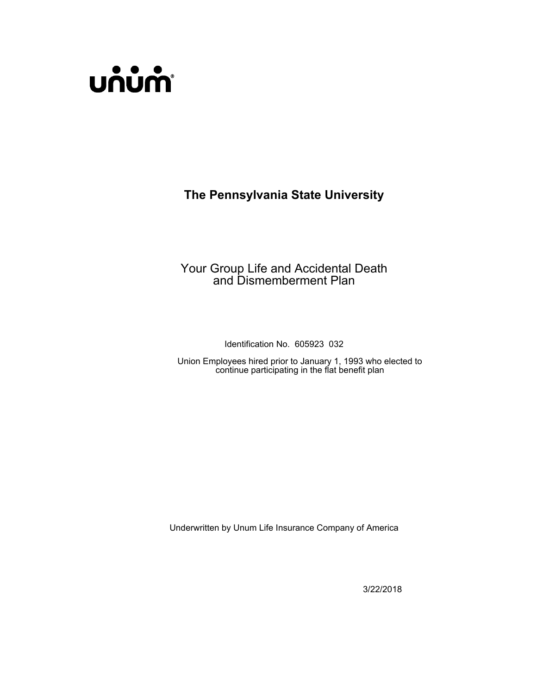

# **The Pennsylvania State University**

# Your Group Life and Accidental Death and Dismemberment Plan

Identification No. 605923 032

Union Employees hired prior to January 1, 1993 who elected to continue participating in the flat benefit plan

Underwritten by Unum Life Insurance Company of America

3/22/2018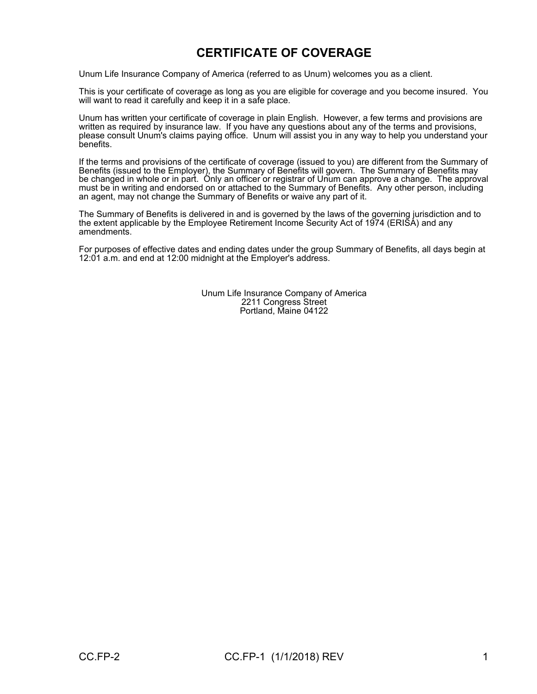# **CERTIFICATE OF COVERAGE**

Unum Life Insurance Company of America (referred to as Unum) welcomes you as a client.

This is your certificate of coverage as long as you are eligible for coverage and you become insured. You will want to read it carefully and keep it in a safe place.

Unum has written your certificate of coverage in plain English. However, a few terms and provisions are written as required by insurance law. If you have any questions about any of the terms and provisions, please consult Unum's claims paying office. Unum will assist you in any way to help you understand your benefits.

If the terms and provisions of the certificate of coverage (issued to you) are different from the Summary of Benefits (issued to the Employer), the Summary of Benefits will govern. The Summary of Benefits may be changed in whole or in part. Only an officer or registrar of Unum can approve a change. The approval must be in writing and endorsed on or attached to the Summary of Benefits. Any other person, including an agent, may not change the Summary of Benefits or waive any part of it.

The Summary of Benefits is delivered in and is governed by the laws of the governing jurisdiction and to the extent applicable by the Employee Retirement Income Security Act of 1974 (ERISA) and any amendments.

For purposes of effective dates and ending dates under the group Summary of Benefits, all days begin at 12:01 a.m. and end at 12:00 midnight at the Employer's address.

> Unum Life Insurance Company of America 2211 Congress Street Portland, Maine 04122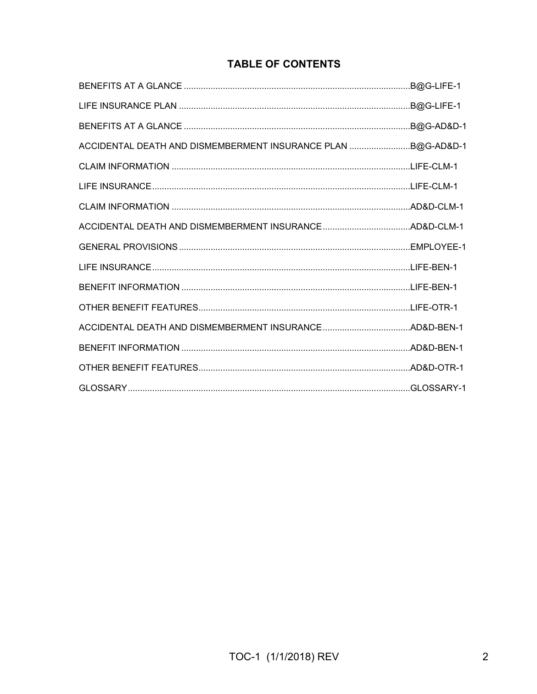# **TABLE OF CONTENTS**

|                                                              | .B@G-LIFE-1 |
|--------------------------------------------------------------|-------------|
|                                                              |             |
| ACCIDENTAL DEATH AND DISMEMBERMENT INSURANCE PLAN B@G-AD&D-1 |             |
|                                                              |             |
|                                                              |             |
|                                                              |             |
|                                                              |             |
|                                                              |             |
|                                                              |             |
|                                                              |             |
|                                                              |             |
|                                                              |             |
|                                                              |             |
|                                                              |             |
|                                                              |             |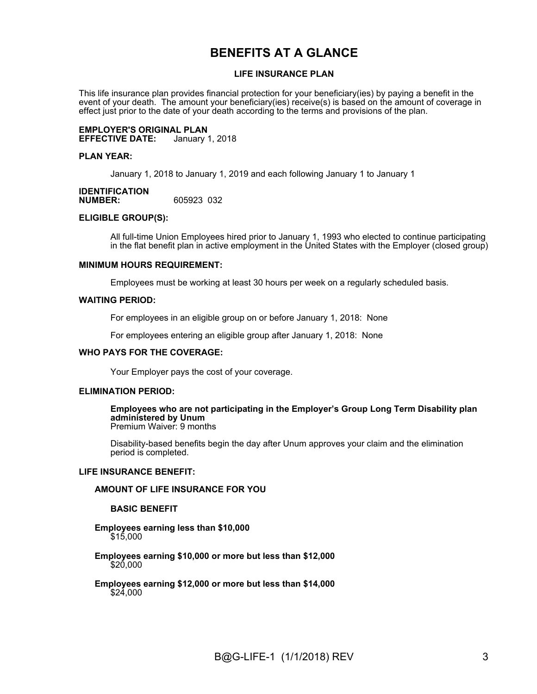# **BENEFITS AT A GLANCE**

#### **LIFE INSURANCE PLAN**

This life insurance plan provides financial protection for your beneficiary(ies) by paying a benefit in the event of your death. The amount your beneficiary(ies) receive(s) is based on the amount of coverage in effect just prior to the date of your death according to the terms and provisions of the plan.

#### **EMPLOYER'S ORIGINAL PLAN EFFECTIVE DATE:**

#### **PLAN YEAR:**

January 1, 2018 to January 1, 2019 and each following January 1 to January 1

#### **IDENTIFICATION NUMBER:** 605923 032

#### **ELIGIBLE GROUP(S):**

All full-time Union Employees hired prior to January 1, 1993 who elected to continue participating in the flat benefit plan in active employment in the United States with the Employer (closed group)

#### **MINIMUM HOURS REQUIREMENT:**

Employees must be working at least 30 hours per week on a regularly scheduled basis.

#### **WAITING PERIOD:**

For employees in an eligible group on or before January 1, 2018: None

For employees entering an eligible group after January 1, 2018: None

#### **WHO PAYS FOR THE COVERAGE:**

Your Employer pays the cost of your coverage.

#### **ELIMINATION PERIOD:**

**Employees who are not participating in the Employer's Group Long Term Disability plan administered by Unum** Premium Waiver: 9 months

Disability-based benefits begin the day after Unum approves your claim and the elimination period is completed.

#### **LIFE INSURANCE BENEFIT:**

#### **AMOUNT OF LIFE INSURANCE FOR YOU**

#### **BASIC BENEFIT**

#### **Employees earning less than \$10,000** \$15,000

- **Employees earning \$10,000 or more but less than \$12,000**  \$20,000
- **Employees earning \$12,000 or more but less than \$14,000** \$24,000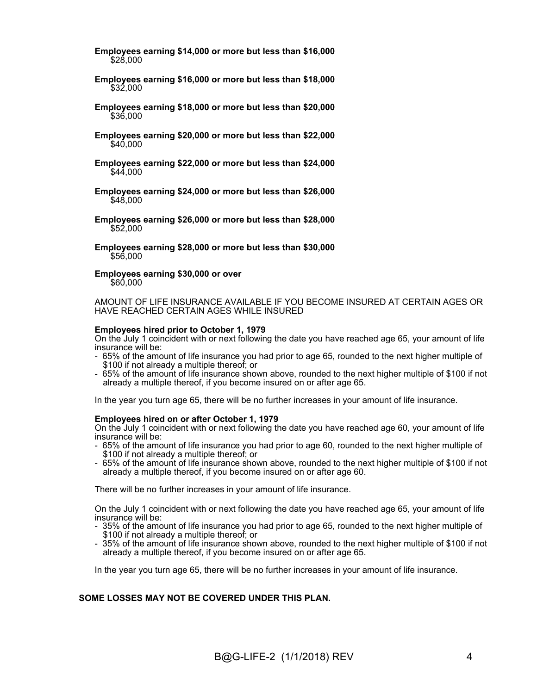**Employees earning \$14,000 or more but less than \$16,000** \$28,000

- **Employees earning \$16,000 or more but less than \$18,000** \$32,000
- **Employees earning \$18,000 or more but less than \$20,000** \$36,000
- **Employees earning \$20,000 or more but less than \$22,000** \$40,000
- **Employees earning \$22,000 or more but less than \$24,000** \$44,000
- **Employees earning \$24,000 or more but less than \$26,000**  $$48.000$
- **Employees earning \$26,000 or more but less than \$28,000** \$52,000
- **Employees earning \$28,000 or more but less than \$30,000** \$56,000
- **Employees earning \$30,000 or over**

\$60,000

AMOUNT OF LIFE INSURANCE AVAILABLE IF YOU BECOME INSURED AT CERTAIN AGES OR HAVE REACHED CERTAIN AGES WHILE INSURED

#### **Employees hired prior to October 1, 1979**

On the July 1 coincident with or next following the date you have reached age 65, your amount of life insurance will be:

- 65% of the amount of life insurance you had prior to age 65, rounded to the next higher multiple of \$100 if not already a multiple thereof; or
- 65% of the amount of life insurance shown above, rounded to the next higher multiple of \$100 if not already a multiple thereof, if you become insured on or after age 65.

In the year you turn age 65, there will be no further increases in your amount of life insurance.

#### **Employees hired on or after October 1, 1979**

On the July 1 coincident with or next following the date you have reached age 60, your amount of life insurance will be:

- 65% of the amount of life insurance you had prior to age 60, rounded to the next higher multiple of \$100 if not already a multiple thereof; or
- 65% of the amount of life insurance shown above, rounded to the next higher multiple of \$100 if not already a multiple thereof, if you become insured on or after age 60.

There will be no further increases in your amount of life insurance.

On the July 1 coincident with or next following the date you have reached age 65, your amount of life insurance will be:

- 35% of the amount of life insurance you had prior to age 65, rounded to the next higher multiple of \$100 if not already a multiple thereof; or
- 35% of the amount of life insurance shown above, rounded to the next higher multiple of \$100 if not already a multiple thereof, if you become insured on or after age 65.

In the year you turn age 65, there will be no further increases in your amount of life insurance.

#### **SOME LOSSES MAY NOT BE COVERED UNDER THIS PLAN.**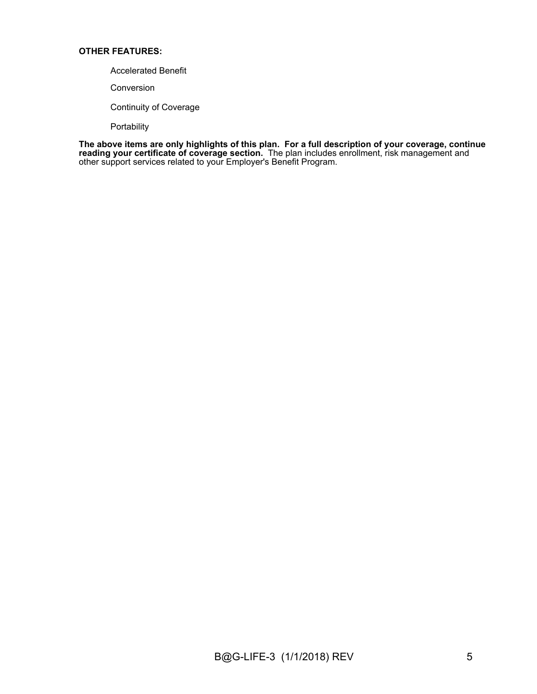#### **OTHER FEATURES:**

- Accelerated Benefit
- Conversion
- Continuity of Coverage

Portability

**The above items are only highlights of this plan. For a full description of your coverage, continue reading your certificate of coverage section.** The plan includes enrollment, risk management and other support services related to your Employer's Benefit Program.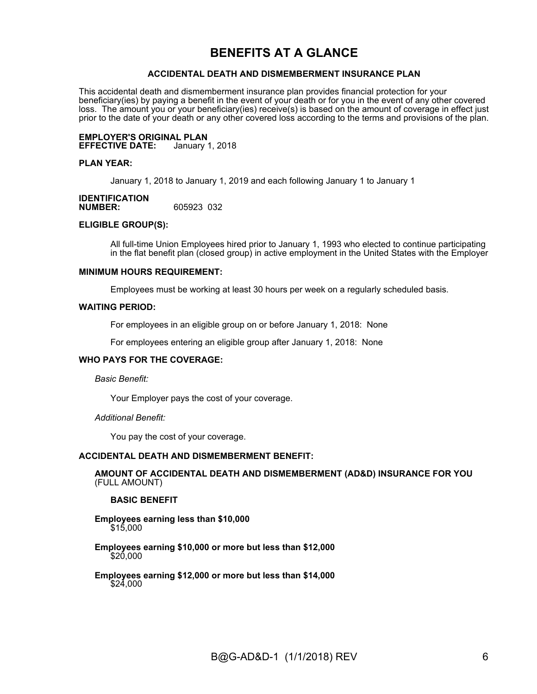# **BENEFITS AT A GLANCE**

#### **ACCIDENTAL DEATH AND DISMEMBERMENT INSURANCE PLAN**

This accidental death and dismemberment insurance plan provides financial protection for your beneficiary(ies) by paying a benefit in the event of your death or for you in the event of any other covered loss. The amount you or your beneficiary(ies) receive(s) is based on the amount of coverage in effect just prior to the date of your death or any other covered loss according to the terms and provisions of the plan.

**EMPLOYER'S ORIGINAL PLAN EFFECTIVE DATE:** 

#### **PLAN YEAR:**

January 1, 2018 to January 1, 2019 and each following January 1 to January 1

#### **IDENTIFICATION NUMBER:** 605923 032

#### **ELIGIBLE GROUP(S):**

All full-time Union Employees hired prior to January 1, 1993 who elected to continue participating in the flat benefit plan (closed group) in active employment in the United States with the Employer

#### **MINIMUM HOURS REQUIREMENT:**

Employees must be working at least 30 hours per week on a regularly scheduled basis.

#### **WAITING PERIOD:**

For employees in an eligible group on or before January 1, 2018: None

For employees entering an eligible group after January 1, 2018: None

#### **WHO PAYS FOR THE COVERAGE:**

*Basic Benefit:*

Your Employer pays the cost of your coverage.

*Additional Benefit:*

You pay the cost of your coverage.

#### **ACCIDENTAL DEATH AND DISMEMBERMENT BENEFIT:**

**AMOUNT OF ACCIDENTAL DEATH AND DISMEMBERMENT (AD&D) INSURANCE FOR YOU**  (FULL AMOUNT)

#### **BASIC BENEFIT**

**Employees earning less than \$10,000** \$15,000

**Employees earning \$10,000 or more but less than \$12,000**  $$20,000$ 

**Employees earning \$12,000 or more but less than \$14,000** \$24,000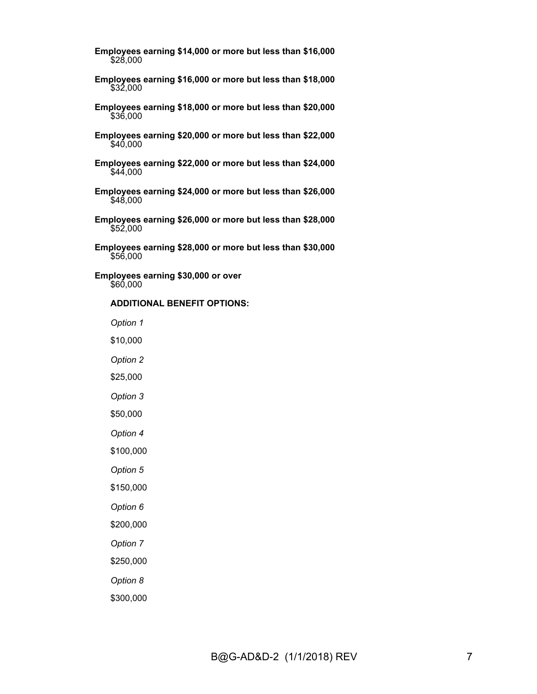**Employees earning \$14,000 or more but less than \$16,000** \$28,000

- **Employees earning \$16,000 or more but less than \$18,000** \$32,000
- **Employees earning \$18,000 or more but less than \$20,000** \$36,000
- **Employees earning \$20,000 or more but less than \$22,000** \$40,000
- **Employees earning \$22,000 or more but less than \$24,000**  $\frac{1}{9}44,000$
- **Employees earning \$24,000 or more but less than \$26,000** \$48,000
- **Employees earning \$26,000 or more but less than \$28,000** \$52,000
- **Employees earning \$28,000 or more but less than \$30,000** \$56,000

**Employees earning \$30,000 or over** \$60,000

#### **ADDITIONAL BENEFIT OPTIONS:**

*Option 1*

\$10,000

*Option 2*

\$25,000

*Option 3*

\$50,000

*Option 4*

\$100,000

*Option 5*

\$150,000

*Option 6*

\$200,000

*Option 7*

\$250,000

*Option 8*

\$300,000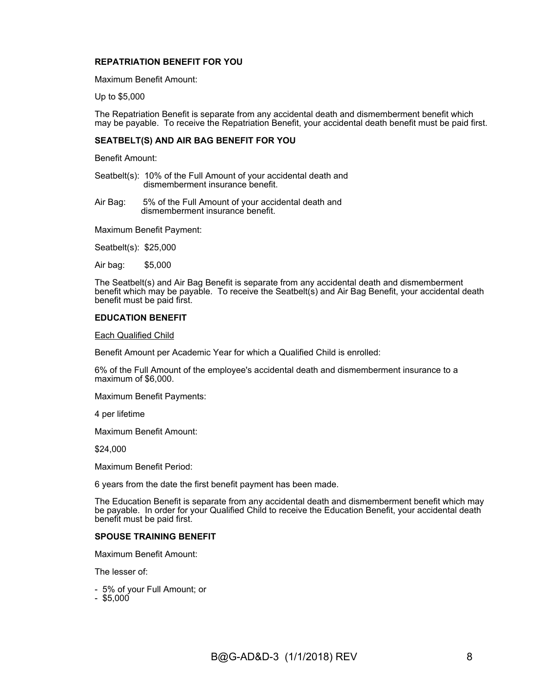#### **REPATRIATION BENEFIT FOR YOU**

Maximum Benefit Amount:

Up to \$5,000

The Repatriation Benefit is separate from any accidental death and dismemberment benefit which may be payable. To receive the Repatriation Benefit, your accidental death benefit must be paid first.

#### **SEATBELT(S) AND AIR BAG BENEFIT FOR YOU**

Benefit Amount:

Seatbelt(s): 10% of the Full Amount of your accidental death and dismemberment insurance benefit.

Air Bag: 5% of the Full Amount of your accidental death and dismemberment insurance benefit.

Maximum Benefit Payment:

Seatbelt(s): \$25,000

Air bag: \$5,000

The Seatbelt(s) and Air Bag Benefit is separate from any accidental death and dismemberment benefit which may be payable. To receive the Seatbelt(s) and Air Bag Benefit, your accidental death benefit must be paid first.

#### **EDUCATION BENEFIT**

Each Qualified Child

Benefit Amount per Academic Year for which a Qualified Child is enrolled:

6% of the Full Amount of the employee's accidental death and dismemberment insurance to a maximum of \$6,000.

Maximum Benefit Payments:

4 per lifetime

Maximum Benefit Amount:

\$24,000

Maximum Benefit Period:

6 years from the date the first benefit payment has been made.

The Education Benefit is separate from any accidental death and dismemberment benefit which may be payable. In order for your Qualified Child to receive the Education Benefit, your accidental death benefit must be paid first.

#### **SPOUSE TRAINING BENEFIT**

Maximum Benefit Amount:

The lesser of:

- 5% of your Full Amount; or
- $-$  \$5,000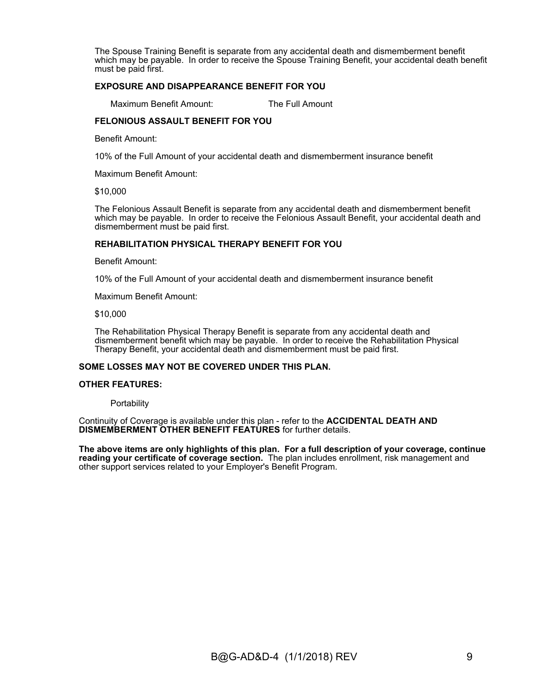The Spouse Training Benefit is separate from any accidental death and dismemberment benefit which may be payable. In order to receive the Spouse Training Benefit, your accidental death benefit must be paid first.

#### **EXPOSURE AND DISAPPEARANCE BENEFIT FOR YOU**

Maximum Benefit Amount: The Full Amount

#### **FELONIOUS ASSAULT BENEFIT FOR YOU**

Benefit Amount:

10% of the Full Amount of your accidental death and dismemberment insurance benefit

Maximum Benefit Amount:

\$10,000

The Felonious Assault Benefit is separate from any accidental death and dismemberment benefit which may be payable. In order to receive the Felonious Assault Benefit, your accidental death and dismemberment must be paid first.

#### **REHABILITATION PHYSICAL THERAPY BENEFIT FOR YOU**

Benefit Amount:

10% of the Full Amount of your accidental death and dismemberment insurance benefit

Maximum Benefit Amount:

\$10,000

The Rehabilitation Physical Therapy Benefit is separate from any accidental death and dismemberment benefit which may be payable. In order to receive the Rehabilitation Physical Therapy Benefit, your accidental death and dismemberment must be paid first.

#### **SOME LOSSES MAY NOT BE COVERED UNDER THIS PLAN.**

#### **OTHER FEATURES:**

**Portability** 

Continuity of Coverage is available under this plan - refer to the **ACCIDENTAL DEATH AND DISMEMBERMENT OTHER BENEFIT FEATURES** for further details.

**The above items are only highlights of this plan. For a full description of your coverage, continue reading your certificate of coverage section.** The plan includes enrollment, risk management and other support services related to your Employer's Benefit Program.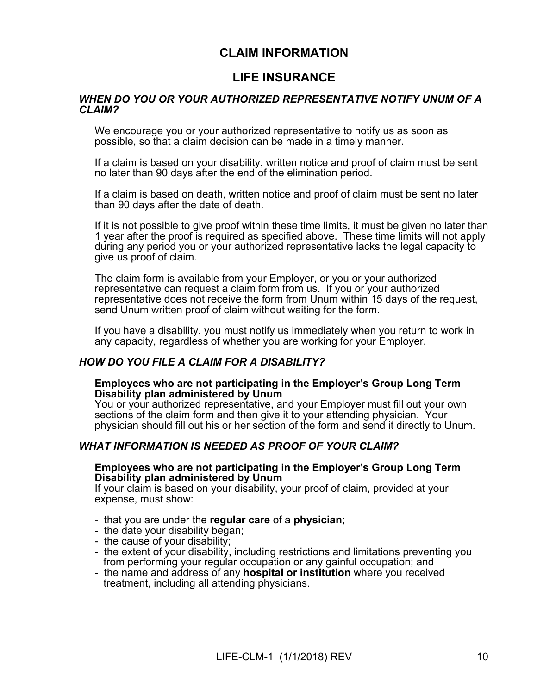# **CLAIM INFORMATION**

# **LIFE INSURANCE**

#### *WHEN DO YOU OR YOUR AUTHORIZED REPRESENTATIVE NOTIFY UNUM OF A CLAIM?*

We encourage you or your authorized representative to notify us as soon as possible, so that a claim decision can be made in a timely manner.

If a claim is based on your disability, written notice and proof of claim must be sent no later than 90 days after the end of the elimination period.

If a claim is based on death, written notice and proof of claim must be sent no later than 90 days after the date of death.

If it is not possible to give proof within these time limits, it must be given no later than 1 year after the proof is required as specified above. These time limits will not apply during any period you or your authorized representative lacks the legal capacity to give us proof of claim.

The claim form is available from your Employer, or you or your authorized representative can request a claim form from us. If you or your authorized representative does not receive the form from Unum within 15 days of the request, send Unum written proof of claim without waiting for the form.

If you have a disability, you must notify us immediately when you return to work in any capacity, regardless of whether you are working for your Employer.

#### *HOW DO YOU FILE A CLAIM FOR A DISABILITY?*

#### **Employees who are not participating in the Employer's Group Long Term Disability plan administered by Unum**

You or your authorized representative, and your Employer must fill out your own sections of the claim form and then give it to your attending physician. Your physician should fill out his or her section of the form and send it directly to Unum.

#### *WHAT INFORMATION IS NEEDED AS PROOF OF YOUR CLAIM?*

#### **Employees who are not participating in the Employer's Group Long Term Disability plan administered by Unum**

If your claim is based on your disability, your proof of claim, provided at your expense, must show:

- that you are under the **regular care** of a **physician**;
- the date your disability began;
- the cause of your disability;
- the extent of your disability, including restrictions and limitations preventing you from performing your regular occupation or any gainful occupation; and
- the name and address of any **hospital or institution** where you received treatment, including all attending physicians.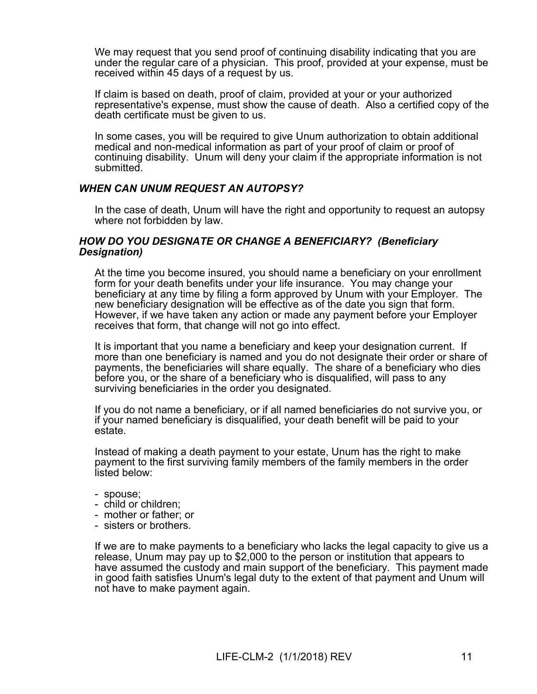We may request that you send proof of continuing disability indicating that you are under the regular care of a physician. This proof, provided at your expense, must be received within 45 days of a request by us.

If claim is based on death, proof of claim, provided at your or your authorized representative's expense, must show the cause of death. Also a certified copy of the death certificate must be given to us.

In some cases, you will be required to give Unum authorization to obtain additional medical and non-medical information as part of your proof of claim or proof of continuing disability. Unum will deny your claim if the appropriate information is not submitted.

#### *WHEN CAN UNUM REQUEST AN AUTOPSY?*

In the case of death, Unum will have the right and opportunity to request an autopsy where not forbidden by law.

#### *HOW DO YOU DESIGNATE OR CHANGE A BENEFICIARY? (Beneficiary Designation)*

At the time you become insured, you should name a beneficiary on your enrollment form for your death benefits under your life insurance. You may change your beneficiary at any time by filing a form approved by Unum with your Employer. The new beneficiary designation will be effective as of the date you sign that form. However, if we have taken any action or made any payment before your Employer receives that form, that change will not go into effect.

It is important that you name a beneficiary and keep your designation current. If more than one beneficiary is named and you do not designate their order or share of payments, the beneficiaries will share equally. The share of a beneficiary who dies before you, or the share of a beneficiary who is disqualified, will pass to any surviving beneficiaries in the order you designated.

If you do not name a beneficiary, or if all named beneficiaries do not survive you, or if your named beneficiary is disqualified, your death benefit will be paid to your estate.

Instead of making a death payment to your estate, Unum has the right to make payment to the first surviving family members of the family members in the order listed below:

- spouse;
- child or children;
- mother or father; or
- sisters or brothers.

If we are to make payments to a beneficiary who lacks the legal capacity to give us a release, Unum may pay up to \$2,000 to the person or institution that appears to have assumed the custody and main support of the beneficiary. This payment made in good faith satisfies Unum's legal duty to the extent of that payment and Unum will not have to make payment again.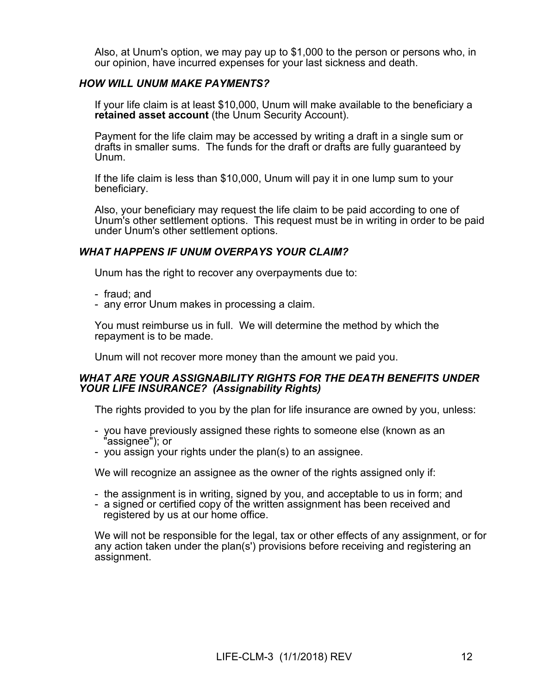Also, at Unum's option, we may pay up to \$1,000 to the person or persons who, in our opinion, have incurred expenses for your last sickness and death.

# *HOW WILL UNUM MAKE PAYMENTS?*

If your life claim is at least \$10,000, Unum will make available to the beneficiary a **retained asset account** (the Unum Security Account).

Payment for the life claim may be accessed by writing a draft in a single sum or drafts in smaller sums. The funds for the draft or drafts are fully guaranteed by Unum.

If the life claim is less than \$10,000, Unum will pay it in one lump sum to your beneficiary.

Also, your beneficiary may request the life claim to be paid according to one of Unum's other settlement options. This request must be in writing in order to be paid under Unum's other settlement options.

## *WHAT HAPPENS IF UNUM OVERPAYS YOUR CLAIM?*

Unum has the right to recover any overpayments due to:

- fraud; and
- any error Unum makes in processing a claim.

You must reimburse us in full. We will determine the method by which the repayment is to be made.

Unum will not recover more money than the amount we paid you.

## *WHAT ARE YOUR ASSIGNABILITY RIGHTS FOR THE DEATH BENEFITS UNDER YOUR LIFE INSURANCE? (Assignability Rights)*

The rights provided to you by the plan for life insurance are owned by you, unless:

- you have previously assigned these rights to someone else (known as an "assignee"); or
- you assign your rights under the plan(s) to an assignee.

We will recognize an assignee as the owner of the rights assigned only if:

- the assignment is in writing, signed by you, and acceptable to us in form; and
- a signed or certified copy of the written assignment has been received and registered by us at our home office.

We will not be responsible for the legal, tax or other effects of any assignment, or for any action taken under the plan(s') provisions before receiving and registering an assignment.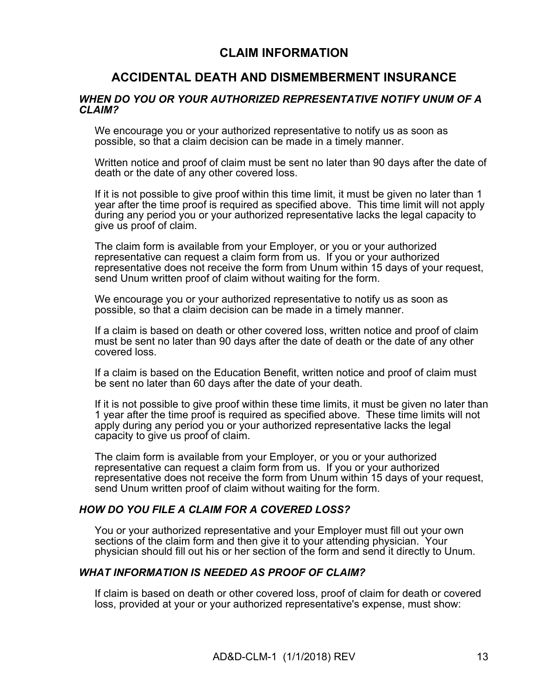# **CLAIM INFORMATION**

# **ACCIDENTAL DEATH AND DISMEMBERMENT INSURANCE**

#### *WHEN DO YOU OR YOUR AUTHORIZED REPRESENTATIVE NOTIFY UNUM OF A CLAIM?*

We encourage you or your authorized representative to notify us as soon as possible, so that a claim decision can be made in a timely manner.

Written notice and proof of claim must be sent no later than 90 days after the date of death or the date of any other covered loss.

If it is not possible to give proof within this time limit, it must be given no later than 1 year after the time proof is required as specified above. This time limit will not apply during any period you or your authorized representative lacks the legal capacity to give us proof of claim.

The claim form is available from your Employer, or you or your authorized representative can request a claim form from us. If you or your authorized representative does not receive the form from Unum within 15 days of your request, send Unum written proof of claim without waiting for the form.

We encourage you or your authorized representative to notify us as soon as possible, so that a claim decision can be made in a timely manner.

If a claim is based on death or other covered loss, written notice and proof of claim must be sent no later than 90 days after the date of death or the date of any other covered loss.

If a claim is based on the Education Benefit, written notice and proof of claim must be sent no later than 60 days after the date of your death.

If it is not possible to give proof within these time limits, it must be given no later than 1 year after the time proof is required as specified above. These time limits will not apply during any period you or your authorized representative lacks the legal capacity to give us proof of claim.

The claim form is available from your Employer, or you or your authorized representative can request a claim form from us. If you or your authorized representative does not receive the form from Unum within 15 days of your request, send Unum written proof of claim without waiting for the form.

#### *HOW DO YOU FILE A CLAIM FOR A COVERED LOSS?*

You or your authorized representative and your Employer must fill out your own sections of the claim form and then give it to your attending physician. Your physician should fill out his or her section of the form and send it directly to Unum.

#### *WHAT INFORMATION IS NEEDED AS PROOF OF CLAIM?*

If claim is based on death or other covered loss, proof of claim for death or covered loss, provided at your or your authorized representative's expense, must show: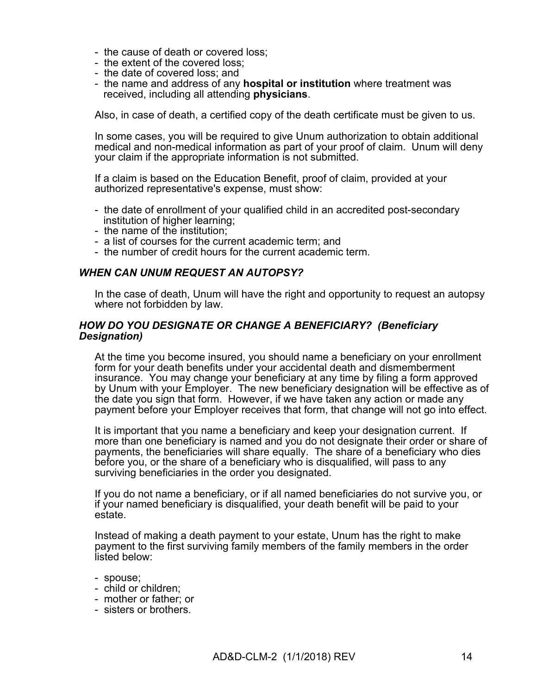- the cause of death or covered loss;
- the extent of the covered loss;
- the date of covered loss; and
- the name and address of any **hospital or institution** where treatment was received, including all attending **physicians**.

Also, in case of death, a certified copy of the death certificate must be given to us.

In some cases, you will be required to give Unum authorization to obtain additional medical and non-medical information as part of your proof of claim. Unum will deny your claim if the appropriate information is not submitted.

If a claim is based on the Education Benefit, proof of claim, provided at your authorized representative's expense, must show:

- the date of enrollment of your qualified child in an accredited post-secondary institution of higher learning;
- the name of the institution;
- a list of courses for the current academic term; and
- the number of credit hours for the current academic term.

#### *WHEN CAN UNUM REQUEST AN AUTOPSY?*

In the case of death, Unum will have the right and opportunity to request an autopsy where not forbidden by law.

#### *HOW DO YOU DESIGNATE OR CHANGE A BENEFICIARY? (Beneficiary Designation)*

At the time you become insured, you should name a beneficiary on your enrollment form for your death benefits under your accidental death and dismemberment insurance. You may change your beneficiary at any time by filing a form approved by Unum with your Employer. The new beneficiary designation will be effective as of the date you sign that form. However, if we have taken any action or made any payment before your Employer receives that form, that change will not go into effect.

It is important that you name a beneficiary and keep your designation current. If more than one beneficiary is named and you do not designate their order or share of payments, the beneficiaries will share equally. The share of a beneficiary who dies before you, or the share of a beneficiary who is disqualified, will pass to any surviving beneficiaries in the order you designated.

If you do not name a beneficiary, or if all named beneficiaries do not survive you, or if your named beneficiary is disqualified, your death benefit will be paid to your estate.

Instead of making a death payment to your estate, Unum has the right to make payment to the first surviving family members of the family members in the order listed below:

- spouse;
- child or children;
- mother or father; or
- sisters or brothers.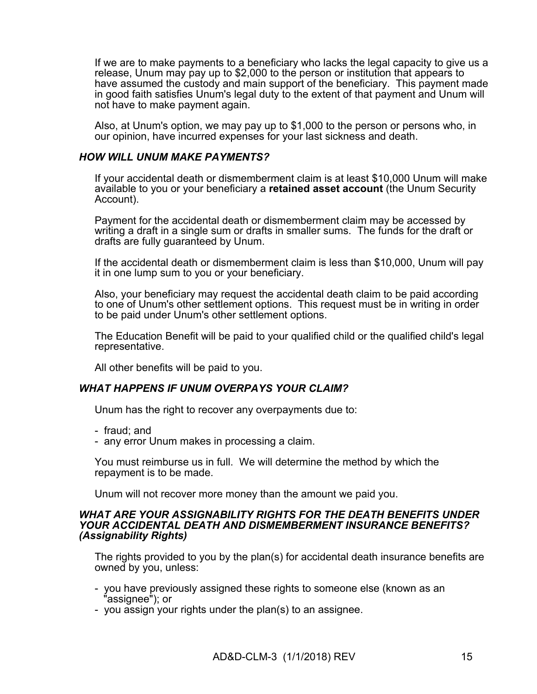If we are to make payments to a beneficiary who lacks the legal capacity to give us a release, Unum may pay up to \$2,000 to the person or institution that appears to have assumed the custody and main support of the beneficiary. This payment made in good faith satisfies Unum's legal duty to the extent of that payment and Unum will not have to make payment again.

Also, at Unum's option, we may pay up to \$1,000 to the person or persons who, in our opinion, have incurred expenses for your last sickness and death.

## *HOW WILL UNUM MAKE PAYMENTS?*

If your accidental death or dismemberment claim is at least \$10,000 Unum will make available to you or your beneficiary a **retained asset account** (the Unum Security Account).

Payment for the accidental death or dismemberment claim may be accessed by writing a draft in a single sum or drafts in smaller sums. The funds for the draft or drafts are fully guaranteed by Unum.

If the accidental death or dismemberment claim is less than \$10,000, Unum will pay it in one lump sum to you or your beneficiary.

Also, your beneficiary may request the accidental death claim to be paid according to one of Unum's other settlement options. This request must be in writing in order to be paid under Unum's other settlement options.

The Education Benefit will be paid to your qualified child or the qualified child's legal representative.

All other benefits will be paid to you.

# *WHAT HAPPENS IF UNUM OVERPAYS YOUR CLAIM?*

Unum has the right to recover any overpayments due to:

- fraud; and
- any error Unum makes in processing a claim.

You must reimburse us in full. We will determine the method by which the repayment is to be made.

Unum will not recover more money than the amount we paid you.

#### *WHAT ARE YOUR ASSIGNABILITY RIGHTS FOR THE DEATH BENEFITS UNDER YOUR ACCIDENTAL DEATH AND DISMEMBERMENT INSURANCE BENEFITS? (Assignability Rights)*

The rights provided to you by the plan(s) for accidental death insurance benefits are owned by you, unless:

- you have previously assigned these rights to someone else (known as an "assignee"); or
- you assign your rights under the plan(s) to an assignee.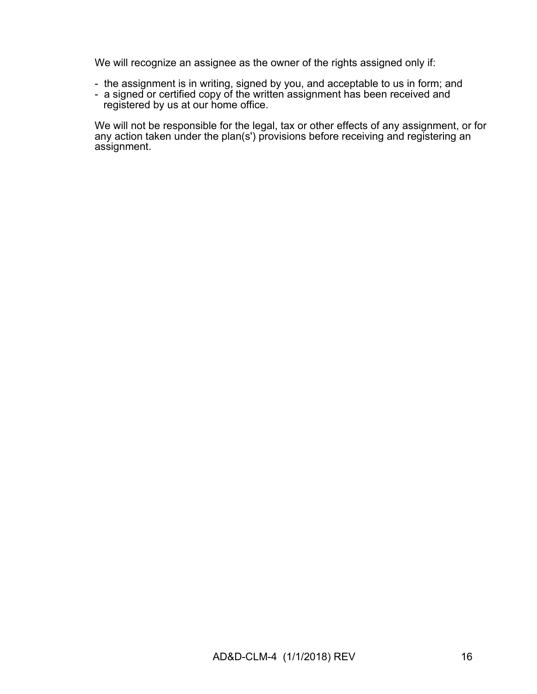We will recognize an assignee as the owner of the rights assigned only if:

- the assignment is in writing, signed by you, and acceptable to us in form; and
- a signed or certified copy of the written assignment has been received and registered by us at our home office.

We will not be responsible for the legal, tax or other effects of any assignment, or for any action taken under the plan(s') provisions before receiving and registering an assignment.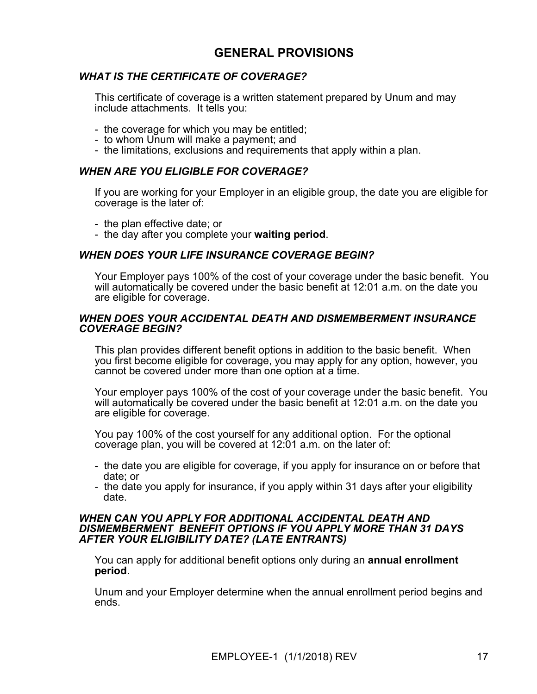# **GENERAL PROVISIONS**

# *WHAT IS THE CERTIFICATE OF COVERAGE?*

This certificate of coverage is a written statement prepared by Unum and may include attachments. It tells you:

- the coverage for which you may be entitled;
- to whom Unum will make a payment; and
- the limitations, exclusions and requirements that apply within a plan.

#### *WHEN ARE YOU ELIGIBLE FOR COVERAGE?*

If you are working for your Employer in an eligible group, the date you are eligible for coverage is the later of:

- the plan effective date; or
- the day after you complete your **waiting period**.

#### *WHEN DOES YOUR LIFE INSURANCE COVERAGE BEGIN?*

Your Employer pays 100% of the cost of your coverage under the basic benefit. You will automatically be covered under the basic benefit at 12:01 a.m. on the date you are eligible for coverage.

#### *WHEN DOES YOUR ACCIDENTAL DEATH AND DISMEMBERMENT INSURANCE COVERAGE BEGIN?*

This plan provides different benefit options in addition to the basic benefit. When you first become eligible for coverage, you may apply for any option, however, you cannot be covered under more than one option at a time.

Your employer pays 100% of the cost of your coverage under the basic benefit. You will automatically be covered under the basic benefit at 12:01 a.m. on the date you are eligible for coverage.

You pay 100% of the cost yourself for any additional option. For the optional coverage plan, you will be covered at 12:01 a.m. on the later of:

- the date you are eligible for coverage, if you apply for insurance on or before that date; or
- the date you apply for insurance, if you apply within 31 days after your eligibility date.

#### *WHEN CAN YOU APPLY FOR ADDITIONAL ACCIDENTAL DEATH AND DISMEMBERMENT BENEFIT OPTIONS IF YOU APPLY MORE THAN 31 DAYS AFTER YOUR ELIGIBILITY DATE? (LATE ENTRANTS)*

You can apply for additional benefit options only during an **annual enrollment period**.

Unum and your Employer determine when the annual enrollment period begins and ends.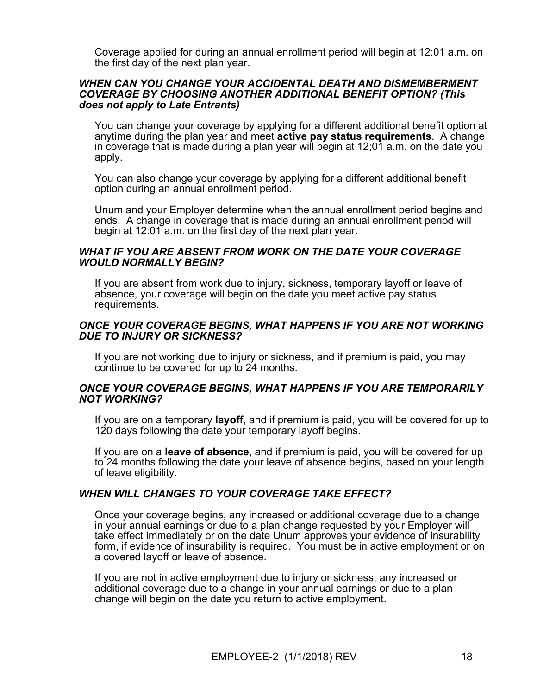Coverage applied for during an annual enrollment period will begin at 12:01 a.m. on the first day of the next plan year.

#### *WHEN CAN YOU CHANGE YOUR ACCIDENTAL DEATH AND DISMEMBERMENT COVERAGE BY CHOOSING ANOTHER ADDITIONAL BENEFIT OPTION? (This does not apply to Late Entrants)*

You can change your coverage by applying for a different additional benefit option at anytime during the plan year and meet **active pay status requirements**. A change in coverage that is made during a plan year will begin at 12;01 a.m. on the date you apply.

You can also change your coverage by applying for a different additional benefit option during an annual enrollment period.

Unum and your Employer determine when the annual enrollment period begins and ends. A change in coverage that is made during an annual enrollment period will begin at 12:01 a.m. on the first day of the next plan year.

#### *WHAT IF YOU ARE ABSENT FROM WORK ON THE DATE YOUR COVERAGE WOULD NORMALLY BEGIN?*

If you are absent from work due to injury, sickness, temporary layoff or leave of absence, your coverage will begin on the date you meet active pay status requirements.

#### *ONCE YOUR COVERAGE BEGINS, WHAT HAPPENS IF YOU ARE NOT WORKING DUE TO INJURY OR SICKNESS?*

If you are not working due to injury or sickness, and if premium is paid, you may continue to be covered for up to 24 months.

#### *ONCE YOUR COVERAGE BEGINS, WHAT HAPPENS IF YOU ARE TEMPORARILY NOT WORKING?*

If you are on a temporary **layoff**, and if premium is paid, you will be covered for up to 120 days following the date your temporary layoff begins.

If you are on a **leave of absence**, and if premium is paid, you will be covered for up to 24 months following the date your leave of absence begins, based on your length of leave eligibility.

#### *WHEN WILL CHANGES TO YOUR COVERAGE TAKE EFFECT?*

Once your coverage begins, any increased or additional coverage due to a change in your annual earnings or due to a plan change requested by your Employer will take effect immediately or on the date Unum approves your evidence of insurability form, if evidence of insurability is required. You must be in active employment or on a covered layoff or leave of absence.

If you are not in active employment due to injury or sickness, any increased or additional coverage due to a change in your annual earnings or due to a plan change will begin on the date you return to active employment.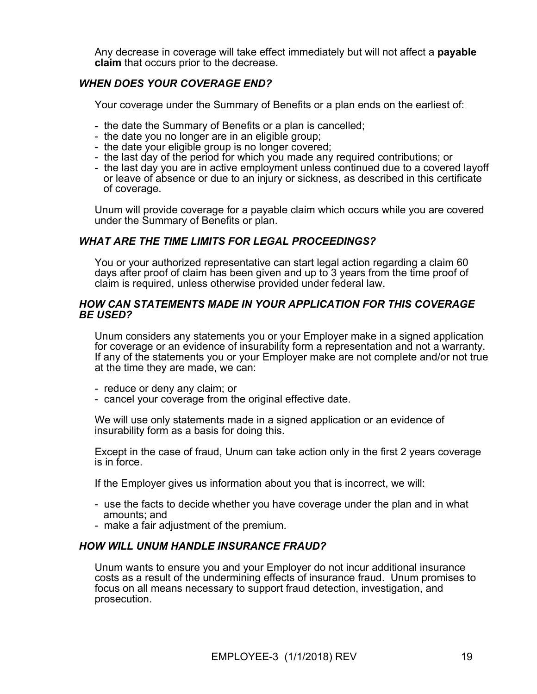Any decrease in coverage will take effect immediately but will not affect a **payable claim** that occurs prior to the decrease.

## *WHEN DOES YOUR COVERAGE END?*

Your coverage under the Summary of Benefits or a plan ends on the earliest of:

- the date the Summary of Benefits or a plan is cancelled;
- the date you no longer are in an eligible group;
- the date your eligible group is no longer covered;
- the last day of the period for which you made any required contributions; or
- the last day you are in active employment unless continued due to a covered layoff or leave of absence or due to an injury or sickness, as described in this certificate of coverage.

Unum will provide coverage for a payable claim which occurs while you are covered under the Summary of Benefits or plan.

## *WHAT ARE THE TIME LIMITS FOR LEGAL PROCEEDINGS?*

You or your authorized representative can start legal action regarding a claim 60 days after proof of claim has been given and up to 3 years from the time proof of claim is required, unless otherwise provided under federal law.

#### *HOW CAN STATEMENTS MADE IN YOUR APPLICATION FOR THIS COVERAGE BE USED?*

Unum considers any statements you or your Employer make in a signed application for coverage or an evidence of insurability form a representation and not a warranty. If any of the statements you or your Employer make are not complete and/or not true at the time they are made, we can:

- reduce or deny any claim; or
- cancel your coverage from the original effective date.

We will use only statements made in a signed application or an evidence of insurability form as a basis for doing this.

Except in the case of fraud, Unum can take action only in the first 2 years coverage is in force.

If the Employer gives us information about you that is incorrect, we will:

- use the facts to decide whether you have coverage under the plan and in what amounts; and
- make a fair adjustment of the premium.

#### *HOW WILL UNUM HANDLE INSURANCE FRAUD?*

Unum wants to ensure you and your Employer do not incur additional insurance costs as a result of the undermining effects of insurance fraud. Unum promises to focus on all means necessary to support fraud detection, investigation, and prosecution.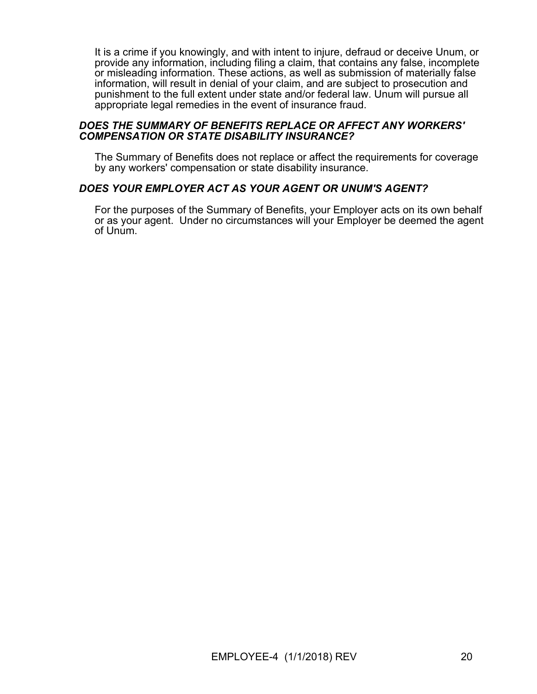It is a crime if you knowingly, and with intent to injure, defraud or deceive Unum, or provide any information, including filing a claim, that contains any false, incomplete or misleading information. These actions, as well as submission of materially false information, will result in denial of your claim, and are subject to prosecution and punishment to the full extent under state and/or federal law. Unum will pursue all appropriate legal remedies in the event of insurance fraud.

#### *DOES THE SUMMARY OF BENEFITS REPLACE OR AFFECT ANY WORKERS' COMPENSATION OR STATE DISABILITY INSURANCE?*

The Summary of Benefits does not replace or affect the requirements for coverage by any workers' compensation or state disability insurance.

#### *DOES YOUR EMPLOYER ACT AS YOUR AGENT OR UNUM'S AGENT?*

For the purposes of the Summary of Benefits, your Employer acts on its own behalf or as your agent. Under no circumstances will your Employer be deemed the agent of Unum.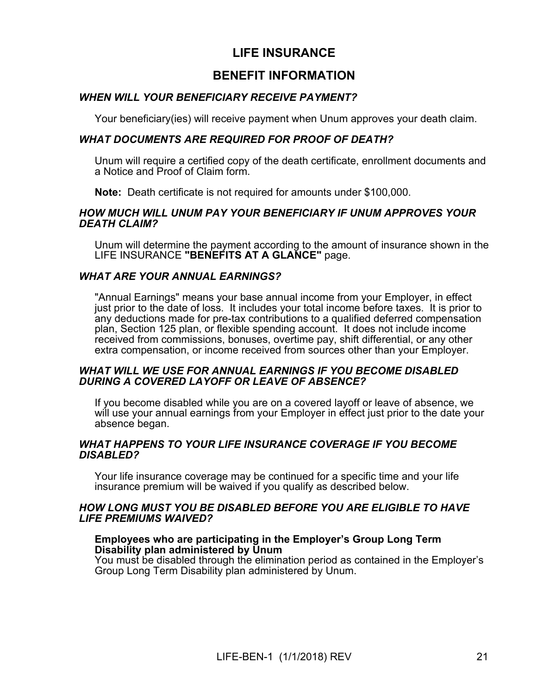# **LIFE INSURANCE**

# **BENEFIT INFORMATION**

## *WHEN WILL YOUR BENEFICIARY RECEIVE PAYMENT?*

Your beneficiary(ies) will receive payment when Unum approves your death claim.

## *WHAT DOCUMENTS ARE REQUIRED FOR PROOF OF DEATH?*

Unum will require a certified copy of the death certificate, enrollment documents and a Notice and Proof of Claim form.

**Note:** Death certificate is not required for amounts under \$100,000.

#### *HOW MUCH WILL UNUM PAY YOUR BENEFICIARY IF UNUM APPROVES YOUR DEATH CLAIM?*

Unum will determine the payment according to the amount of insurance shown in the LIFE INSURANCE **"BENEFITS AT A GLANCE"** page.

#### *WHAT ARE YOUR ANNUAL EARNINGS?*

"Annual Earnings" means your base annual income from your Employer, in effect just prior to the date of loss. It includes your total income before taxes. It is prior to any deductions made for pre-tax contributions to a qualified deferred compensation plan, Section 125 plan, or flexible spending account. It does not include income received from commissions, bonuses, overtime pay, shift differential, or any other extra compensation, or income received from sources other than your Employer.

#### *WHAT WILL WE USE FOR ANNUAL EARNINGS IF YOU BECOME DISABLED DURING A COVERED LAYOFF OR LEAVE OF ABSENCE?*

If you become disabled while you are on a covered layoff or leave of absence, we will use your annual earnings from your Employer in effect just prior to the date your absence began.

#### *WHAT HAPPENS TO YOUR LIFE INSURANCE COVERAGE IF YOU BECOME DISABLED?*

Your life insurance coverage may be continued for a specific time and your life insurance premium will be waived if you qualify as described below.

#### *HOW LONG MUST YOU BE DISABLED BEFORE YOU ARE ELIGIBLE TO HAVE LIFE PREMIUMS WAIVED?*

#### **Employees who are participating in the Employer's Group Long Term Disability plan administered by Unum**

You must be disabled through the elimination period as contained in the Employer's Group Long Term Disability plan administered by Unum.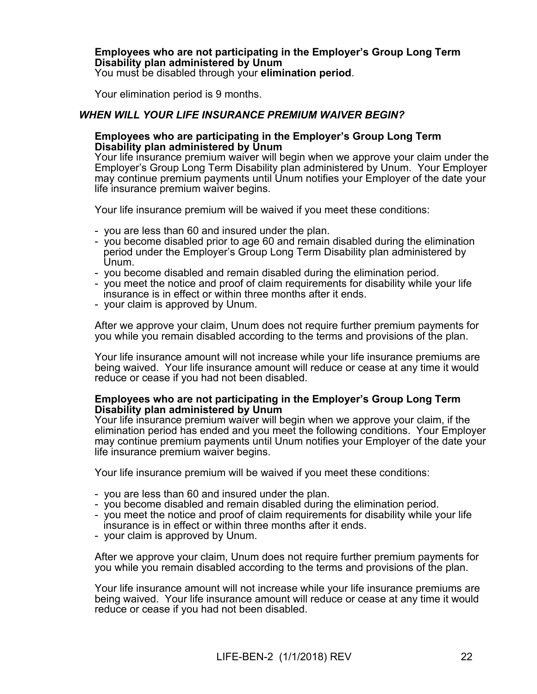# **Employees who are not participating in the Employer's Group Long Term Disability plan administered by Unum**

You must be disabled through your **elimination period**.

Your elimination period is 9 months.

## *WHEN WILL YOUR LIFE INSURANCE PREMIUM WAIVER BEGIN?*

#### **Employees who are participating in the Employer's Group Long Term Disability plan administered by Unum**

Your life insurance premium waiver will begin when we approve your claim under the Employer's Group Long Term Disability plan administered by Unum. Your Employer may continue premium payments until Unum notifies your Employer of the date your life insurance premium waiver begins.

Your life insurance premium will be waived if you meet these conditions:

- you are less than 60 and insured under the plan.
- you become disabled prior to age 60 and remain disabled during the elimination period under the Employer's Group Long Term Disability plan administered by Unum.
- you become disabled and remain disabled during the elimination period.
- you meet the notice and proof of claim requirements for disability while your life insurance is in effect or within three months after it ends.
- your claim is approved by Unum.

After we approve your claim, Unum does not require further premium payments for you while you remain disabled according to the terms and provisions of the plan.

Your life insurance amount will not increase while your life insurance premiums are being waived. Your life insurance amount will reduce or cease at any time it would reduce or cease if you had not been disabled.

#### **Employees who are not participating in the Employer's Group Long Term Disability plan administered by Unum**

Your life insurance premium waiver will begin when we approve your claim, if the elimination period has ended and you meet the following conditions. Your Employer may continue premium payments until Unum notifies your Employer of the date your life insurance premium waiver begins.

Your life insurance premium will be waived if you meet these conditions:

- you are less than 60 and insured under the plan.
- you become disabled and remain disabled during the elimination period.
- you meet the notice and proof of claim requirements for disability while your life insurance is in effect or within three months after it ends.
- your claim is approved by Unum.

After we approve your claim, Unum does not require further premium payments for you while you remain disabled according to the terms and provisions of the plan.

Your life insurance amount will not increase while your life insurance premiums are being waived. Your life insurance amount will reduce or cease at any time it would reduce or cease if you had not been disabled.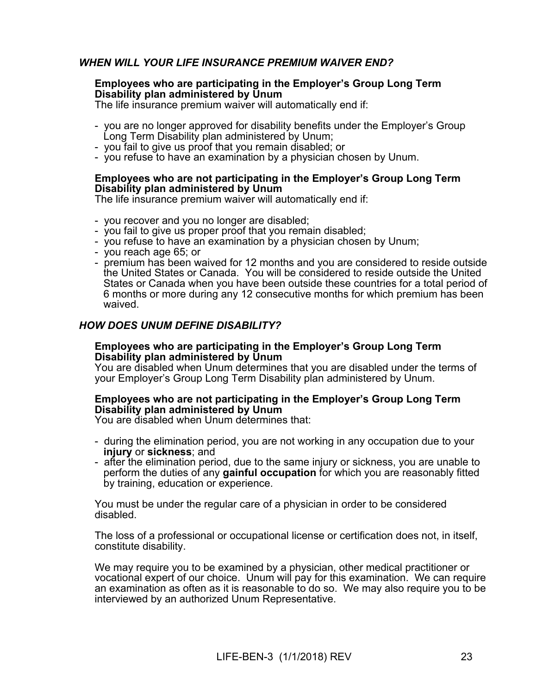# *WHEN WILL YOUR LIFE INSURANCE PREMIUM WAIVER END?*

#### **Employees who are participating in the Employer's Group Long Term Disability plan administered by Unum**

The life insurance premium waiver will automatically end if:

- you are no longer approved for disability benefits under the Employer's Group Long Term Disability plan administered by Unum;
- you fail to give us proof that you remain disabled; or
- you refuse to have an examination by a physician chosen by Unum.

#### **Employees who are not participating in the Employer's Group Long Term Disability plan administered by Unum**

The life insurance premium waiver will automatically end if:

- you recover and you no longer are disabled;
- you fail to give us proper proof that you remain disabled;
- you refuse to have an examination by a physician chosen by Unum;
- you reach age 65; or
- premium has been waived for 12 months and you are considered to reside outside the United States or Canada. You will be considered to reside outside the United States or Canada when you have been outside these countries for a total period of 6 months or more during any 12 consecutive months for which premium has been waived.

## *HOW DOES UNUM DEFINE DISABILITY?*

#### **Employees who are participating in the Employer's Group Long Term Disability plan administered by Unum**

You are disabled when Unum determines that you are disabled under the terms of your Employer's Group Long Term Disability plan administered by Unum.

#### **Employees who are not participating in the Employer's Group Long Term Disability plan administered by Unum**

You are disabled when Unum determines that:

- during the elimination period, you are not working in any occupation due to your **injury** or **sickness**; and
- after the elimination period, due to the same injury or sickness, you are unable to perform the duties of any **gainful occupation** for which you are reasonably fitted by training, education or experience.

You must be under the regular care of a physician in order to be considered disabled.

The loss of a professional or occupational license or certification does not, in itself, constitute disability.

We may require you to be examined by a physician, other medical practitioner or vocational expert of our choice. Unum will pay for this examination. We can require an examination as often as it is reasonable to do so. We may also require you to be interviewed by an authorized Unum Representative.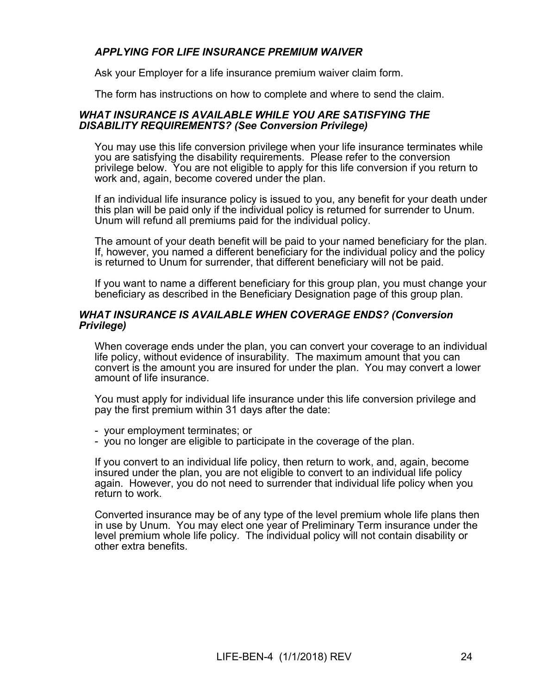# *APPLYING FOR LIFE INSURANCE PREMIUM WAIVER*

Ask your Employer for a life insurance premium waiver claim form.

The form has instructions on how to complete and where to send the claim.

#### *WHAT INSURANCE IS AVAILABLE WHILE YOU ARE SATISFYING THE DISABILITY REQUIREMENTS? (See Conversion Privilege)*

You may use this life conversion privilege when your life insurance terminates while you are satisfying the disability requirements. Please refer to the conversion privilege below. You are not eligible to apply for this life conversion if you return to work and, again, become covered under the plan.

If an individual life insurance policy is issued to you, any benefit for your death under this plan will be paid only if the individual policy is returned for surrender to Unum. Unum will refund all premiums paid for the individual policy.

The amount of your death benefit will be paid to your named beneficiary for the plan. If, however, you named a different beneficiary for the individual policy and the policy is returned to Unum for surrender, that different beneficiary will not be paid.

If you want to name a different beneficiary for this group plan, you must change your beneficiary as described in the Beneficiary Designation page of this group plan.

#### *WHAT INSURANCE IS AVAILABLE WHEN COVERAGE ENDS? (Conversion Privilege)*

When coverage ends under the plan, you can convert your coverage to an individual life policy, without evidence of insurability. The maximum amount that you can convert is the amount you are insured for under the plan. You may convert a lower amount of life insurance.

You must apply for individual life insurance under this life conversion privilege and pay the first premium within 31 days after the date:

- your employment terminates; or

- you no longer are eligible to participate in the coverage of the plan.

If you convert to an individual life policy, then return to work, and, again, become insured under the plan, you are not eligible to convert to an individual life policy again. However, you do not need to surrender that individual life policy when you return to work.

Converted insurance may be of any type of the level premium whole life plans then in use by Unum. You may elect one year of Preliminary Term insurance under the level premium whole life policy. The individual policy will not contain disability or other extra benefits.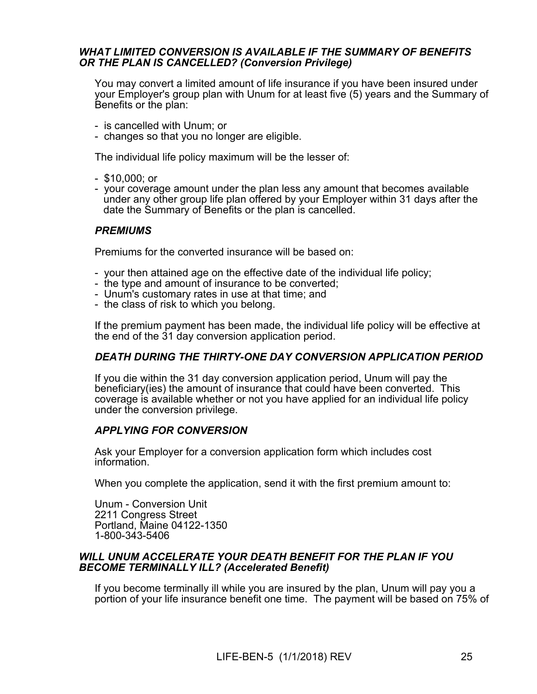#### *WHAT LIMITED CONVERSION IS AVAILABLE IF THE SUMMARY OF BENEFITS OR THE PLAN IS CANCELLED? (Conversion Privilege)*

You may convert a limited amount of life insurance if you have been insured under your Employer's group plan with Unum for at least five (5) years and the Summary of Benefits or the plan:

- is cancelled with Unum; or
- changes so that you no longer are eligible.

The individual life policy maximum will be the lesser of:

- \$10,000; or
- your coverage amount under the plan less any amount that becomes available under any other group life plan offered by your Employer within 31 days after the date the Summary of Benefits or the plan is cancelled.

## *PREMIUMS*

Premiums for the converted insurance will be based on:

- your then attained age on the effective date of the individual life policy;
- the type and amount of insurance to be converted;
- Unum's customary rates in use at that time; and
- the class of risk to which you belong.

If the premium payment has been made, the individual life policy will be effective at the end of the 31 day conversion application period.

# *DEATH DURING THE THIRTY-ONE DAY CONVERSION APPLICATION PERIOD*

If you die within the 31 day conversion application period, Unum will pay the beneficiary(ies) the amount of insurance that could have been converted. This coverage is available whether or not you have applied for an individual life policy under the conversion privilege.

#### *APPLYING FOR CONVERSION*

Ask your Employer for a conversion application form which includes cost information.

When you complete the application, send it with the first premium amount to:

Unum - Conversion Unit 2211 Congress Street Portland, Maine 04122-1350 1-800-343-5406

#### *WILL UNUM ACCELERATE YOUR DEATH BENEFIT FOR THE PLAN IF YOU BECOME TERMINALLY ILL? (Accelerated Benefit)*

If you become terminally ill while you are insured by the plan, Unum will pay you a portion of your life insurance benefit one time. The payment will be based on 75% of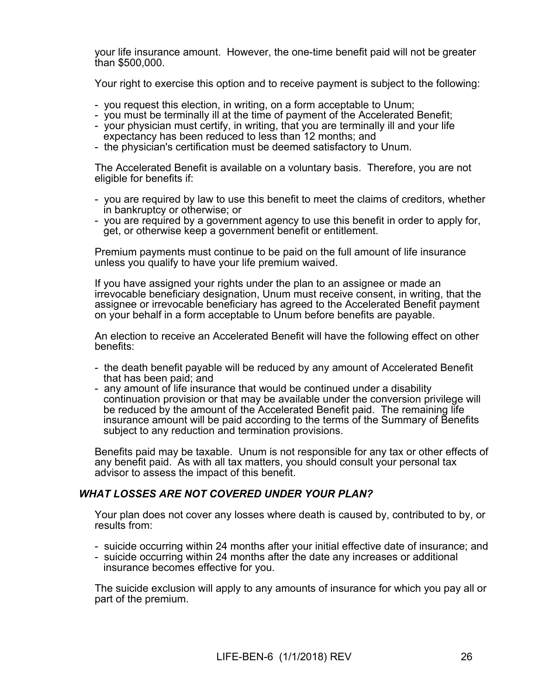your life insurance amount. However, the one-time benefit paid will not be greater than \$500,000.

Your right to exercise this option and to receive payment is subject to the following:

- you request this election, in writing, on a form acceptable to Unum;
- you must be terminally ill at the time of payment of the Accelerated Benefit;
- your physician must certify, in writing, that you are terminally ill and your life expectancy has been reduced to less than 12 months; and
- the physician's certification must be deemed satisfactory to Unum.

The Accelerated Benefit is available on a voluntary basis. Therefore, you are not eligible for benefits if:

- you are required by law to use this benefit to meet the claims of creditors, whether in bankruptcy or otherwise; or
- you are required by a government agency to use this benefit in order to apply for, get, or otherwise keep a government benefit or entitlement.

Premium payments must continue to be paid on the full amount of life insurance unless you qualify to have your life premium waived.

If you have assigned your rights under the plan to an assignee or made an irrevocable beneficiary designation, Unum must receive consent, in writing, that the assignee or irrevocable beneficiary has agreed to the Accelerated Benefit payment on your behalf in a form acceptable to Unum before benefits are payable.

An election to receive an Accelerated Benefit will have the following effect on other benefits:

- the death benefit payable will be reduced by any amount of Accelerated Benefit that has been paid; and
- any amount of life insurance that would be continued under a disability continuation provision or that may be available under the conversion privilege will be reduced by the amount of the Accelerated Benefit paid. The remaining life insurance amount will be paid according to the terms of the Summary of Benefits subject to any reduction and termination provisions.

Benefits paid may be taxable. Unum is not responsible for any tax or other effects of any benefit paid. As with all tax matters, you should consult your personal tax advisor to assess the impact of this benefit.

# *WHAT LOSSES ARE NOT COVERED UNDER YOUR PLAN?*

Your plan does not cover any losses where death is caused by, contributed to by, or results from:

- suicide occurring within 24 months after your initial effective date of insurance; and
- suicide occurring within 24 months after the date any increases or additional insurance becomes effective for you.

The suicide exclusion will apply to any amounts of insurance for which you pay all or part of the premium.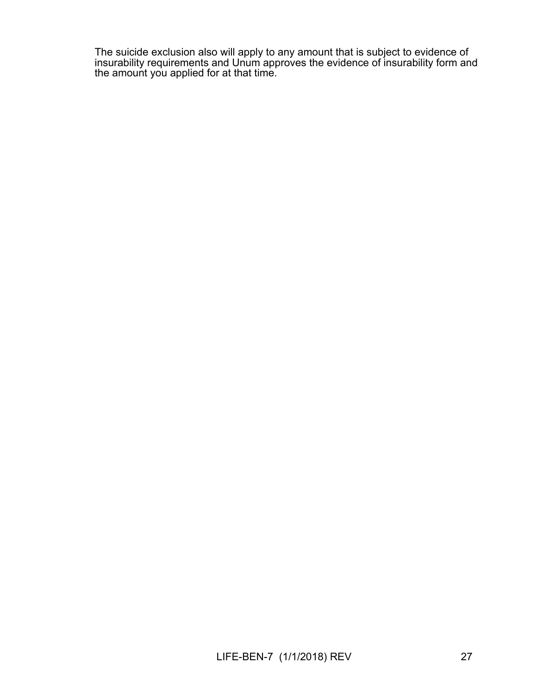The suicide exclusion also will apply to any amount that is subject to evidence of insurability requirements and Unum approves the evidence of insurability form and the amount you applied for at that time.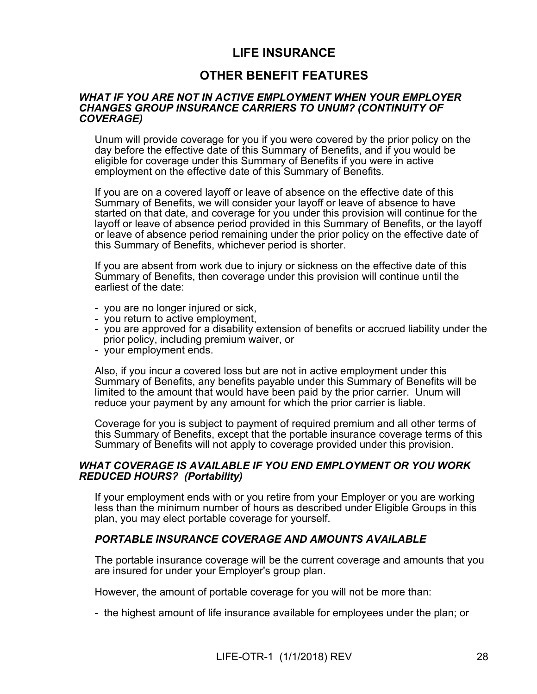# **LIFE INSURANCE**

# **OTHER BENEFIT FEATURES**

#### *WHAT IF YOU ARE NOT IN ACTIVE EMPLOYMENT WHEN YOUR EMPLOYER CHANGES GROUP INSURANCE CARRIERS TO UNUM? (CONTINUITY OF COVERAGE)*

Unum will provide coverage for you if you were covered by the prior policy on the day before the effective date of this Summary of Benefits, and if you would be eligible for coverage under this Summary of Benefits if you were in active employment on the effective date of this Summary of Benefits.

If you are on a covered layoff or leave of absence on the effective date of this Summary of Benefits, we will consider your layoff or leave of absence to have started on that date, and coverage for you under this provision will continue for the layoff or leave of absence period provided in this Summary of Benefits, or the layoff or leave of absence period remaining under the prior policy on the effective date of this Summary of Benefits, whichever period is shorter.

If you are absent from work due to injury or sickness on the effective date of this Summary of Benefits, then coverage under this provision will continue until the earliest of the date:

- you are no longer injured or sick,
- you return to active employment,
- you are approved for a disability extension of benefits or accrued liability under the prior policy, including premium waiver, or
- your employment ends.

Also, if you incur a covered loss but are not in active employment under this Summary of Benefits, any benefits payable under this Summary of Benefits will be limited to the amount that would have been paid by the prior carrier. Unum will reduce your payment by any amount for which the prior carrier is liable.

Coverage for you is subject to payment of required premium and all other terms of this Summary of Benefits, except that the portable insurance coverage terms of this Summary of Benefits will not apply to coverage provided under this provision.

#### *WHAT COVERAGE IS AVAILABLE IF YOU END EMPLOYMENT OR YOU WORK REDUCED HOURS? (Portability)*

If your employment ends with or you retire from your Employer or you are working less than the minimum number of hours as described under Eligible Groups in this plan, you may elect portable coverage for yourself.

#### *PORTABLE INSURANCE COVERAGE AND AMOUNTS AVAILABLE*

The portable insurance coverage will be the current coverage and amounts that you are insured for under your Employer's group plan.

However, the amount of portable coverage for you will not be more than:

- the highest amount of life insurance available for employees under the plan; or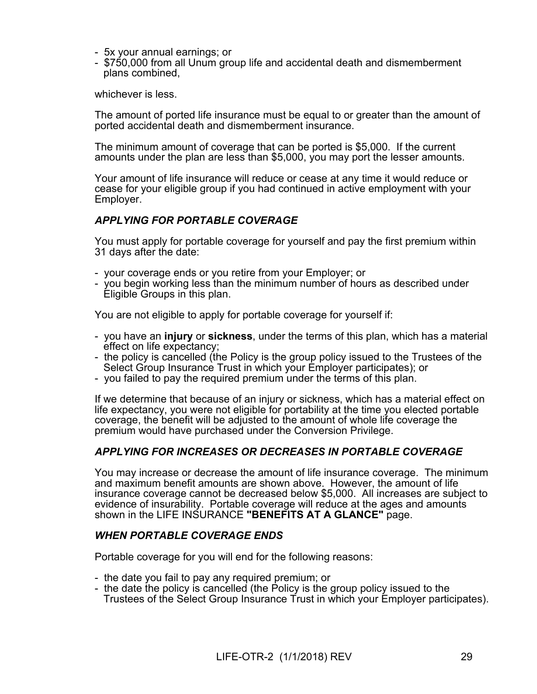- 5x your annual earnings; or
- \$750,000 from all Unum group life and accidental death and dismemberment plans combined,

whichever is less.

The amount of ported life insurance must be equal to or greater than the amount of ported accidental death and dismemberment insurance.

The minimum amount of coverage that can be ported is \$5,000. If the current amounts under the plan are less than \$5,000, you may port the lesser amounts.

Your amount of life insurance will reduce or cease at any time it would reduce or cease for your eligible group if you had continued in active employment with your Employer.

# *APPLYING FOR PORTABLE COVERAGE*

You must apply for portable coverage for yourself and pay the first premium within 31 days after the date:

- your coverage ends or you retire from your Employer; or
- you begin working less than the minimum number of hours as described under Eligible Groups in this plan.

You are not eligible to apply for portable coverage for yourself if:

- you have an **injury** or **sickness**, under the terms of this plan, which has a material effect on life expectancy;
- the policy is cancelled (the Policy is the group policy issued to the Trustees of the Select Group Insurance Trust in which your Employer participates); or
- you failed to pay the required premium under the terms of this plan.

If we determine that because of an injury or sickness, which has a material effect on life expectancy, you were not eligible for portability at the time you elected portable coverage, the benefit will be adjusted to the amount of whole life coverage the premium would have purchased under the Conversion Privilege.

# *APPLYING FOR INCREASES OR DECREASES IN PORTABLE COVERAGE*

You may increase or decrease the amount of life insurance coverage. The minimum and maximum benefit amounts are shown above. However, the amount of life insurance coverage cannot be decreased below \$5,000. All increases are subject to evidence of insurability. Portable coverage will reduce at the ages and amounts shown in the LIFE INSURANCE **"BENEFITS AT A GLANCE"** page.

#### *WHEN PORTABLE COVERAGE ENDS*

Portable coverage for you will end for the following reasons:

- the date you fail to pay any required premium; or
- the date the policy is cancelled (the Policy is the group policy issued to the Trustees of the Select Group Insurance Trust in which your Employer participates).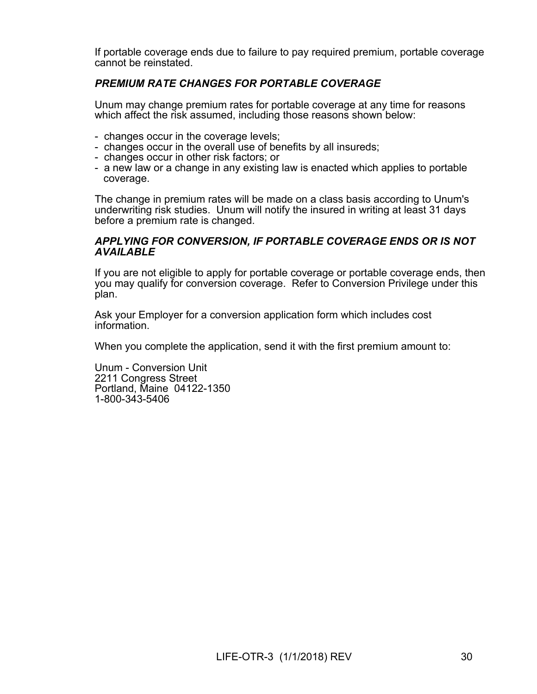If portable coverage ends due to failure to pay required premium, portable coverage cannot be reinstated.

# *PREMIUM RATE CHANGES FOR PORTABLE COVERAGE*

Unum may change premium rates for portable coverage at any time for reasons which affect the risk assumed, including those reasons shown below:

- changes occur in the coverage levels;
- changes occur in the overall use of benefits by all insureds;
- changes occur in other risk factors; or
- a new law or a change in any existing law is enacted which applies to portable coverage.

The change in premium rates will be made on a class basis according to Unum's underwriting risk studies. Unum will notify the insured in writing at least 31 days before a premium rate is changed.

#### *APPLYING FOR CONVERSION, IF PORTABLE COVERAGE ENDS OR IS NOT AVAILABLE*

If you are not eligible to apply for portable coverage or portable coverage ends, then you may qualify for conversion coverage. Refer to Conversion Privilege under this plan.

Ask your Employer for a conversion application form which includes cost information.

When you complete the application, send it with the first premium amount to:

Unum - Conversion Unit 2211 Congress Street Portland, Maine 04122-1350 1-800-343-5406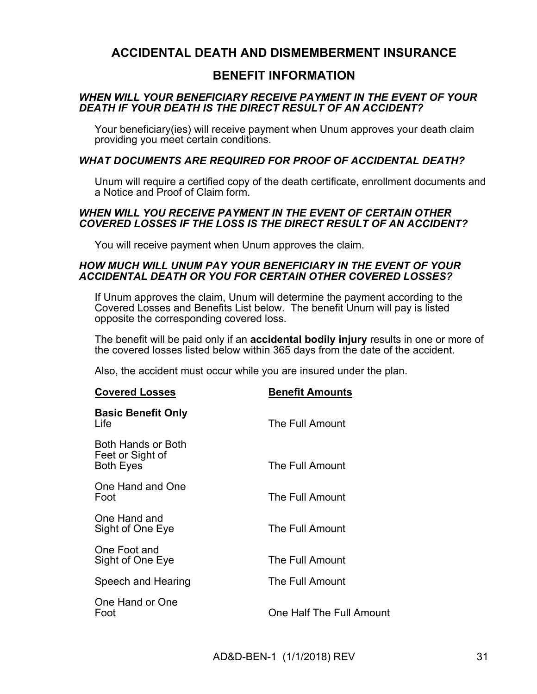# **ACCIDENTAL DEATH AND DISMEMBERMENT INSURANCE**

# **BENEFIT INFORMATION**

## *WHEN WILL YOUR BENEFICIARY RECEIVE PAYMENT IN THE EVENT OF YOUR DEATH IF YOUR DEATH IS THE DIRECT RESULT OF AN ACCIDENT?*

Your beneficiary(ies) will receive payment when Unum approves your death claim providing you meet certain conditions.

## *WHAT DOCUMENTS ARE REQUIRED FOR PROOF OF ACCIDENTAL DEATH?*

Unum will require a certified copy of the death certificate, enrollment documents and a Notice and Proof of Claim form.

#### *WHEN WILL YOU RECEIVE PAYMENT IN THE EVENT OF CERTAIN OTHER COVERED LOSSES IF THE LOSS IS THE DIRECT RESULT OF AN ACCIDENT?*

You will receive payment when Unum approves the claim.

#### *HOW MUCH WILL UNUM PAY YOUR BENEFICIARY IN THE EVENT OF YOUR ACCIDENTAL DEATH OR YOU FOR CERTAIN OTHER COVERED LOSSES?*

If Unum approves the claim, Unum will determine the payment according to the Covered Losses and Benefits List below. The benefit Unum will pay is listed opposite the corresponding covered loss.

The benefit will be paid only if an **accidental bodily injury** results in one or more of the covered losses listed below within 365 days from the date of the accident.

Also, the accident must occur while you are insured under the plan.

| <b>Covered Losses</b>                                      | <b>Benefit Amounts</b>   |
|------------------------------------------------------------|--------------------------|
| <b>Basic Benefit Only</b><br>Life                          | The Full Amount          |
| Both Hands or Both<br>Feet or Sight of<br><b>Both Eyes</b> | The Full Amount          |
| One Hand and One<br>Foot                                   | The Full Amount          |
| One Hand and<br>Sight of One Eye                           | The Full Amount          |
| One Foot and<br>Sight of One Eye                           | The Full Amount          |
| Speech and Hearing                                         | The Full Amount          |
| One Hand or One<br>Foot                                    | One Half The Full Amount |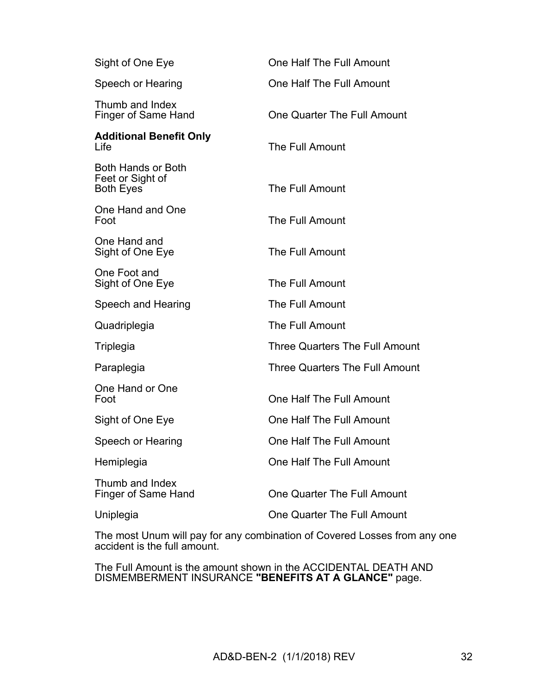| Sight of One Eye                                           | One Half The Full Amount           |
|------------------------------------------------------------|------------------------------------|
| Speech or Hearing                                          | One Half The Full Amount           |
| Thumb and Index<br><b>Finger of Same Hand</b>              | One Quarter The Full Amount        |
| <b>Additional Benefit Only</b><br>Life                     | The Full Amount                    |
| Both Hands or Both<br>Feet or Sight of<br><b>Both Eyes</b> | The Full Amount                    |
| One Hand and One<br>Foot                                   | The Full Amount                    |
| One Hand and<br>Sight of One Eye                           | The Full Amount                    |
| One Foot and<br>Sight of One Eye                           | The Full Amount                    |
| Speech and Hearing                                         | The Full Amount                    |
| Quadriplegia                                               | The Full Amount                    |
| Triplegia                                                  | Three Quarters The Full Amount     |
| Paraplegia                                                 | Three Quarters The Full Amount     |
| One Hand or One<br>Foot                                    | One Half The Full Amount           |
| Sight of One Eye                                           | One Half The Full Amount           |
| Speech or Hearing                                          | One Half The Full Amount           |
| Hemiplegia                                                 | One Half The Full Amount           |
| Thumb and Index<br><b>Finger of Same Hand</b>              | <b>One Quarter The Full Amount</b> |
| Uniplegia                                                  | One Quarter The Full Amount        |

The most Unum will pay for any combination of Covered Losses from any one accident is the full amount.

The Full Amount is the amount shown in the ACCIDENTAL DEATH AND DISMEMBERMENT INSURANCE **"BENEFITS AT A GLANCE"** page.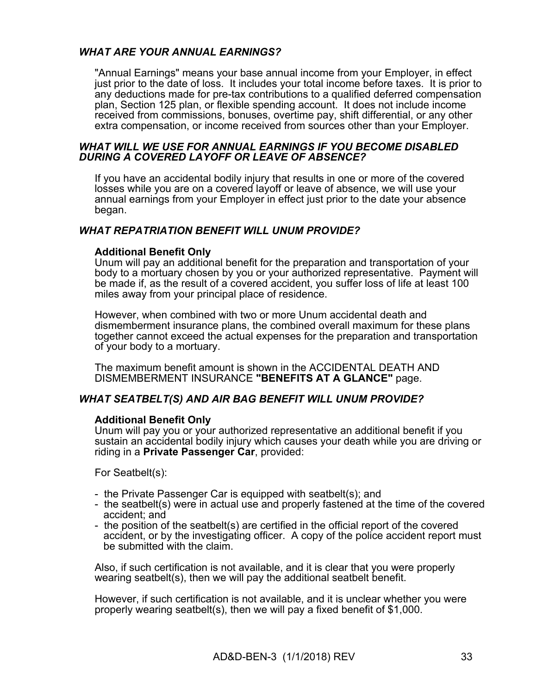# *WHAT ARE YOUR ANNUAL EARNINGS?*

"Annual Earnings" means your base annual income from your Employer, in effect just prior to the date of loss. It includes your total income before taxes. It is prior to any deductions made for pre-tax contributions to a qualified deferred compensation plan, Section 125 plan, or flexible spending account. It does not include income received from commissions, bonuses, overtime pay, shift differential, or any other extra compensation, or income received from sources other than your Employer.

#### *WHAT WILL WE USE FOR ANNUAL EARNINGS IF YOU BECOME DISABLED DURING A COVERED LAYOFF OR LEAVE OF ABSENCE?*

If you have an accidental bodily injury that results in one or more of the covered losses while you are on a covered layoff or leave of absence, we will use your annual earnings from your Employer in effect just prior to the date your absence began.

#### *WHAT REPATRIATION BENEFIT WILL UNUM PROVIDE?*

#### **Additional Benefit Only**

Unum will pay an additional benefit for the preparation and transportation of your body to a mortuary chosen by you or your authorized representative. Payment will be made if, as the result of a covered accident, you suffer loss of life at least 100 miles away from your principal place of residence.

However, when combined with two or more Unum accidental death and dismemberment insurance plans, the combined overall maximum for these plans together cannot exceed the actual expenses for the preparation and transportation of your body to a mortuary.

The maximum benefit amount is shown in the ACCIDENTAL DEATH AND DISMEMBERMENT INSURANCE **"BENEFITS AT A GLANCE"** page.

#### *WHAT SEATBELT(S) AND AIR BAG BENEFIT WILL UNUM PROVIDE?*

#### **Additional Benefit Only**

Unum will pay you or your authorized representative an additional benefit if you sustain an accidental bodily injury which causes your death while you are driving or riding in a **Private Passenger Car**, provided:

For Seatbelt(s):

- the Private Passenger Car is equipped with seatbelt(s); and
- the seatbelt(s) were in actual use and properly fastened at the time of the covered accident; and
- the position of the seatbelt(s) are certified in the official report of the covered accident, or by the investigating officer. A copy of the police accident report must be submitted with the claim.

Also, if such certification is not available, and it is clear that you were properly wearing seatbelt(s), then we will pay the additional seatbelt benefit.

However, if such certification is not available, and it is unclear whether you were properly wearing seatbelt(s), then we will pay a fixed benefit of \$1,000.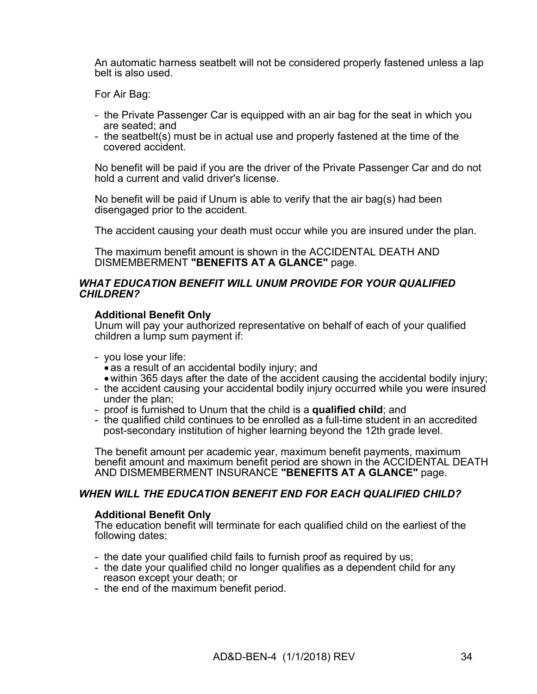An automatic harness seatbelt will not be considered properly fastened unless a lap belt is also used.

For Air Bag:

- the Private Passenger Car is equipped with an air bag for the seat in which you are seated; and
- the seatbelt(s) must be in actual use and properly fastened at the time of the covered accident.

No benefit will be paid if you are the driver of the Private Passenger Car and do not hold a current and valid driver's license.

No benefit will be paid if Unum is able to verify that the air bag(s) had been disengaged prior to the accident.

The accident causing your death must occur while you are insured under the plan.

The maximum benefit amount is shown in the ACCIDENTAL DEATH AND DISMEMBERMENT **"BENEFITS AT A GLANCE"** page.

#### *WHAT EDUCATION BENEFIT WILL UNUM PROVIDE FOR YOUR QUALIFIED CHILDREN?*

#### **Additional Benefit Only**

Unum will pay your authorized representative on behalf of each of your qualified children a lump sum payment if:

- you lose your life:
	- as a result of an accidental bodily injury; and
- within 365 days after the date of the accident causing the accidental bodily injury;
- the accident causing your accidental bodily injury occurred while you were insured under the plan;
- proof is furnished to Unum that the child is a **qualified child**; and
- the qualified child continues to be enrolled as a full-time student in an accredited post-secondary institution of higher learning beyond the 12th grade level.

The benefit amount per academic year, maximum benefit payments, maximum benefit amount and maximum benefit period are shown in the ACCIDENTAL DEATH AND DISMEMBERMENT INSURANCE **"BENEFITS AT A GLANCE"** page.

#### *WHEN WILL THE EDUCATION BENEFIT END FOR EACH QUALIFIED CHILD?*

#### **Additional Benefit Only**

The education benefit will terminate for each qualified child on the earliest of the following dates:

- the date your qualified child fails to furnish proof as required by us;
- the date your qualified child no longer qualifies as a dependent child for any reason except your death; or
- the end of the maximum benefit period.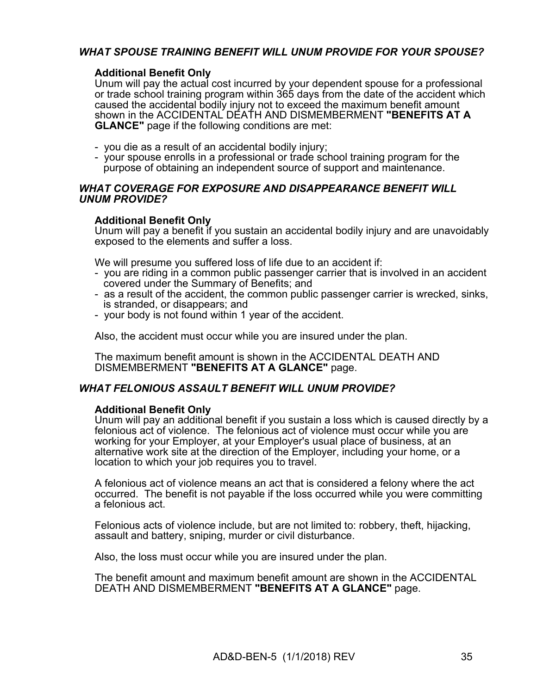# *WHAT SPOUSE TRAINING BENEFIT WILL UNUM PROVIDE FOR YOUR SPOUSE?*

#### **Additional Benefit Only**

Unum will pay the actual cost incurred by your dependent spouse for a professional or trade school training program within 365 days from the date of the accident which caused the accidental bodily injury not to exceed the maximum benefit amount shown in the ACCIDENTAL DEATH AND DISMEMBERMENT **"BENEFITS AT A GLANCE"** page if the following conditions are met:

- you die as a result of an accidental bodily injury;
- your spouse enrolls in a professional or trade school training program for the purpose of obtaining an independent source of support and maintenance.

#### *WHAT COVERAGE FOR EXPOSURE AND DISAPPEARANCE BENEFIT WILL UNUM PROVIDE?*

#### **Additional Benefit Only**

Unum will pay a benefit if you sustain an accidental bodily injury and are unavoidably exposed to the elements and suffer a loss.

We will presume you suffered loss of life due to an accident if:

- you are riding in a common public passenger carrier that is involved in an accident covered under the Summary of Benefits; and
- as a result of the accident, the common public passenger carrier is wrecked, sinks, is stranded, or disappears; and
- your body is not found within 1 year of the accident.

Also, the accident must occur while you are insured under the plan.

The maximum benefit amount is shown in the ACCIDENTAL DEATH AND DISMEMBERMENT **"BENEFITS AT A GLANCE"** page.

#### *WHAT FELONIOUS ASSAULT BENEFIT WILL UNUM PROVIDE?*

#### **Additional Benefit Only**

Unum will pay an additional benefit if you sustain a loss which is caused directly by a felonious act of violence. The felonious act of violence must occur while you are working for your Employer, at your Employer's usual place of business, at an alternative work site at the direction of the Employer, including your home, or a location to which your job requires you to travel.

A felonious act of violence means an act that is considered a felony where the act occurred. The benefit is not payable if the loss occurred while you were committing a felonious act.

Felonious acts of violence include, but are not limited to: robbery, theft, hijacking, assault and battery, sniping, murder or civil disturbance.

Also, the loss must occur while you are insured under the plan.

The benefit amount and maximum benefit amount are shown in the ACCIDENTAL DEATH AND DISMEMBERMENT **"BENEFITS AT A GLANCE"** page.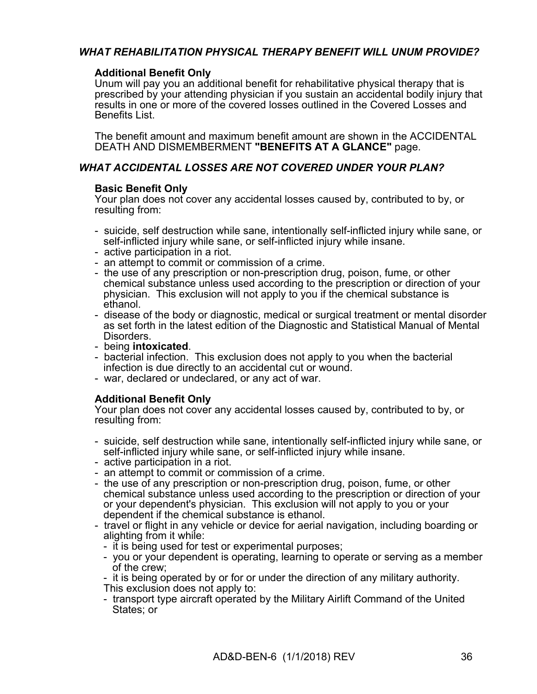# *WHAT REHABILITATION PHYSICAL THERAPY BENEFIT WILL UNUM PROVIDE?*

#### **Additional Benefit Only**

Unum will pay you an additional benefit for rehabilitative physical therapy that is prescribed by your attending physician if you sustain an accidental bodily injury that results in one or more of the covered losses outlined in the Covered Losses and Benefits List.

The benefit amount and maximum benefit amount are shown in the ACCIDENTAL DEATH AND DISMEMBERMENT **"BENEFITS AT A GLANCE"** page.

## *WHAT ACCIDENTAL LOSSES ARE NOT COVERED UNDER YOUR PLAN?*

#### **Basic Benefit Only**

Your plan does not cover any accidental losses caused by, contributed to by, or resulting from:

- suicide, self destruction while sane, intentionally self-inflicted injury while sane, or self-inflicted injury while sane, or self-inflicted injury while insane.
- active participation in a riot.
- an attempt to commit or commission of a crime.
- the use of any prescription or non-prescription drug, poison, fume, or other chemical substance unless used according to the prescription or direction of your physician. This exclusion will not apply to you if the chemical substance is ethanol.
- disease of the body or diagnostic, medical or surgical treatment or mental disorder as set forth in the latest edition of the Diagnostic and Statistical Manual of Mental Disorders.
- being **intoxicated**.
- bacterial infection. This exclusion does not apply to you when the bacterial infection is due directly to an accidental cut or wound.
- war, declared or undeclared, or any act of war.

#### **Additional Benefit Only**

Your plan does not cover any accidental losses caused by, contributed to by, or resulting from:

- suicide, self destruction while sane, intentionally self-inflicted injury while sane, or self-inflicted injury while sane, or self-inflicted injury while insane.
- active participation in a riot.
- an attempt to commit or commission of a crime.
- the use of any prescription or non-prescription drug, poison, fume, or other chemical substance unless used according to the prescription or direction of your or your dependent's physician. This exclusion will not apply to you or your dependent if the chemical substance is ethanol.
- travel or flight in any vehicle or device for aerial navigation, including boarding or alighting from it while:
	- it is being used for test or experimental purposes;
	- you or your dependent is operating, learning to operate or serving as a member of the crew;
	- it is being operated by or for or under the direction of any military authority. This exclusion does not apply to:
	- transport type aircraft operated by the Military Airlift Command of the United States; or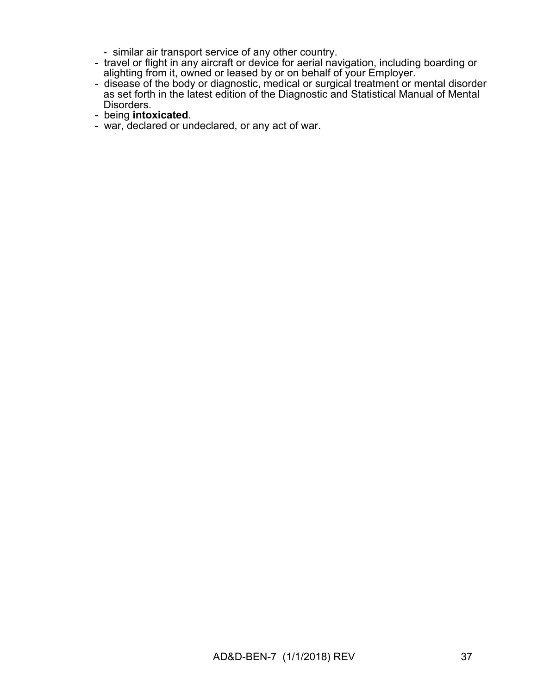- similar air transport service of any other country.
- travel or flight in any aircraft or device for aerial navigation, including boarding or alighting from it, owned or leased by or on behalf of your Employer.
- disease of the body or diagnostic, medical or surgical treatment or mental disorder as set forth in the latest edition of the Diagnostic and Statistical Manual of Mental Disorders.
- being **intoxicated**.
- war, declared or undeclared, or any act of war.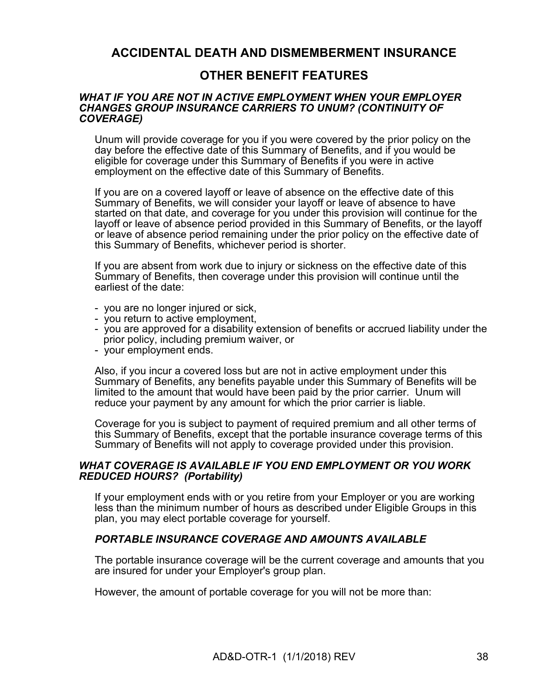# **ACCIDENTAL DEATH AND DISMEMBERMENT INSURANCE**

# **OTHER BENEFIT FEATURES**

#### *WHAT IF YOU ARE NOT IN ACTIVE EMPLOYMENT WHEN YOUR EMPLOYER CHANGES GROUP INSURANCE CARRIERS TO UNUM? (CONTINUITY OF COVERAGE)*

Unum will provide coverage for you if you were covered by the prior policy on the day before the effective date of this Summary of Benefits, and if you would be eligible for coverage under this Summary of Benefits if you were in active employment on the effective date of this Summary of Benefits.

If you are on a covered layoff or leave of absence on the effective date of this Summary of Benefits, we will consider your layoff or leave of absence to have started on that date, and coverage for you under this provision will continue for the layoff or leave of absence period provided in this Summary of Benefits, or the layoff or leave of absence period remaining under the prior policy on the effective date of this Summary of Benefits, whichever period is shorter.

If you are absent from work due to injury or sickness on the effective date of this Summary of Benefits, then coverage under this provision will continue until the earliest of the date:

- you are no longer injured or sick,
- you return to active employment,
- you are approved for a disability extension of benefits or accrued liability under the prior policy, including premium waiver, or
- your employment ends.

Also, if you incur a covered loss but are not in active employment under this Summary of Benefits, any benefits payable under this Summary of Benefits will be limited to the amount that would have been paid by the prior carrier. Unum will reduce your payment by any amount for which the prior carrier is liable.

Coverage for you is subject to payment of required premium and all other terms of this Summary of Benefits, except that the portable insurance coverage terms of this Summary of Benefits will not apply to coverage provided under this provision.

#### *WHAT COVERAGE IS AVAILABLE IF YOU END EMPLOYMENT OR YOU WORK REDUCED HOURS? (Portability)*

If your employment ends with or you retire from your Employer or you are working less than the minimum number of hours as described under Eligible Groups in this plan, you may elect portable coverage for yourself.

#### *PORTABLE INSURANCE COVERAGE AND AMOUNTS AVAILABLE*

The portable insurance coverage will be the current coverage and amounts that you are insured for under your Employer's group plan.

However, the amount of portable coverage for you will not be more than: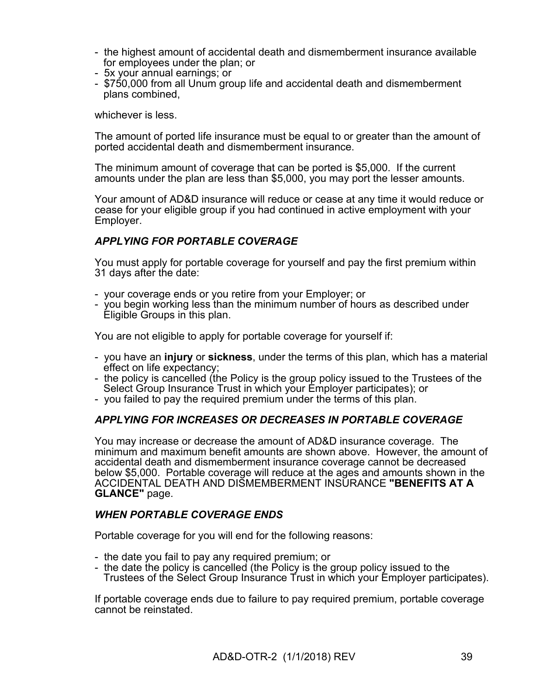- the highest amount of accidental death and dismemberment insurance available for employees under the plan; or
- 5x your annual earnings; or
- \$750,000 from all Unum group life and accidental death and dismemberment plans combined,

whichever is less.

The amount of ported life insurance must be equal to or greater than the amount of ported accidental death and dismemberment insurance.

The minimum amount of coverage that can be ported is \$5,000. If the current amounts under the plan are less than \$5,000, you may port the lesser amounts.

Your amount of AD&D insurance will reduce or cease at any time it would reduce or cease for your eligible group if you had continued in active employment with your Employer.

# *APPLYING FOR PORTABLE COVERAGE*

You must apply for portable coverage for yourself and pay the first premium within 31 days after the date:

- your coverage ends or you retire from your Employer; or
- you begin working less than the minimum number of hours as described under Eligible Groups in this plan.

You are not eligible to apply for portable coverage for yourself if:

- you have an **injury** or **sickness**, under the terms of this plan, which has a material effect on life expectancy;
- the policy is cancelled (the Policy is the group policy issued to the Trustees of the Select Group Insurance Trust in which your Employer participates); or
- you failed to pay the required premium under the terms of this plan.

#### *APPLYING FOR INCREASES OR DECREASES IN PORTABLE COVERAGE*

You may increase or decrease the amount of AD&D insurance coverage. The minimum and maximum benefit amounts are shown above. However, the amount of accidental death and dismemberment insurance coverage cannot be decreased below \$5,000. Portable coverage will reduce at the ages and amounts shown in the ACCIDENTAL DEATH AND DISMEMBERMENT INSURANCE **"BENEFITS AT A GLANCE"** page.

# *WHEN PORTABLE COVERAGE ENDS*

Portable coverage for you will end for the following reasons:

- the date you fail to pay any required premium; or
- the date the policy is cancelled (the Policy is the group policy issued to the Trustees of the Select Group Insurance Trust in which your Employer participates).

If portable coverage ends due to failure to pay required premium, portable coverage cannot be reinstated.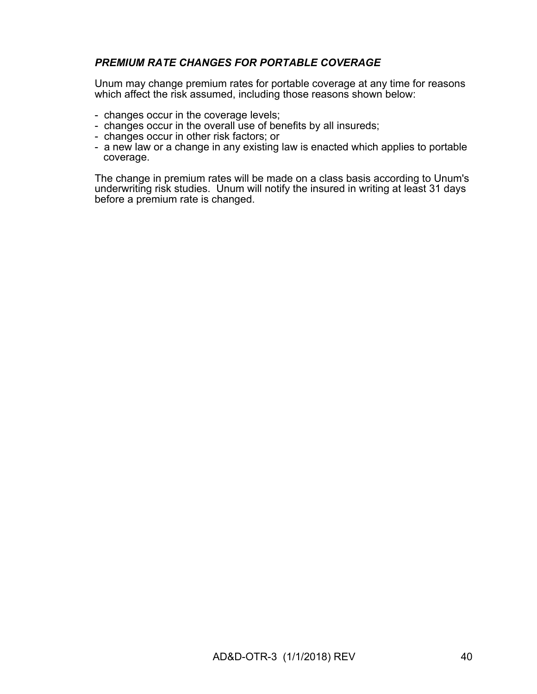# *PREMIUM RATE CHANGES FOR PORTABLE COVERAGE*

Unum may change premium rates for portable coverage at any time for reasons which affect the risk assumed, including those reasons shown below:

- changes occur in the coverage levels;
- changes occur in the overall use of benefits by all insureds;
- changes occur in other risk factors; or
- a new law or a change in any existing law is enacted which applies to portable coverage.

The change in premium rates will be made on a class basis according to Unum's underwriting risk studies. Unum will notify the insured in writing at least 31 days before a premium rate is changed.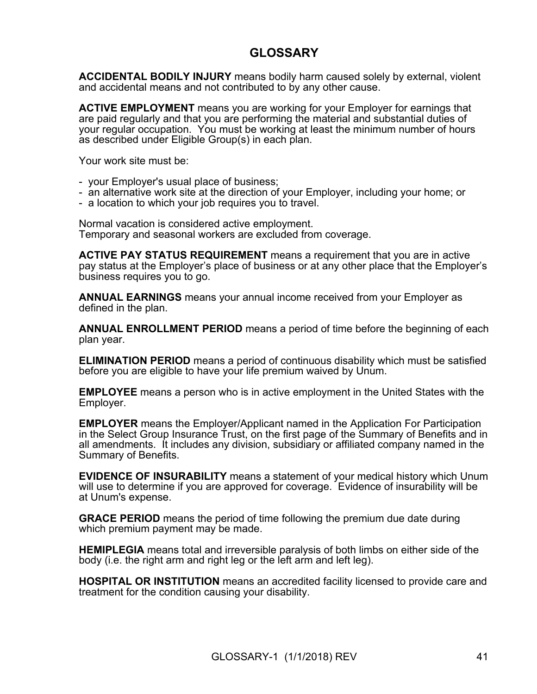# **GLOSSARY**

**ACCIDENTAL BODILY INJURY** means bodily harm caused solely by external, violent and accidental means and not contributed to by any other cause.

**ACTIVE EMPLOYMENT** means you are working for your Employer for earnings that are paid regularly and that you are performing the material and substantial duties of your regular occupation. You must be working at least the minimum number of hours as described under Eligible Group(s) in each plan.

Your work site must be:

- your Employer's usual place of business;
- an alternative work site at the direction of your Employer, including your home; or
- a location to which your job requires you to travel.

Normal vacation is considered active employment. Temporary and seasonal workers are excluded from coverage.

**ACTIVE PAY STATUS REQUIREMENT** means a requirement that you are in active pay status at the Employer's place of business or at any other place that the Employer's business requires you to go.

**ANNUAL EARNINGS** means your annual income received from your Employer as defined in the plan.

**ANNUAL ENROLLMENT PERIOD** means a period of time before the beginning of each plan year.

**ELIMINATION PERIOD** means a period of continuous disability which must be satisfied before you are eligible to have your life premium waived by Unum.

**EMPLOYEE** means a person who is in active employment in the United States with the Employer.

**EMPLOYER** means the Employer/Applicant named in the Application For Participation in the Select Group Insurance Trust, on the first page of the Summary of Benefits and in all amendments. It includes any division, subsidiary or affiliated company named in the Summary of Benefits.

**EVIDENCE OF INSURABILITY** means a statement of your medical history which Unum will use to determine if you are approved for coverage. Evidence of insurability will be at Unum's expense.

**GRACE PERIOD** means the period of time following the premium due date during which premium payment may be made.

**HEMIPLEGIA** means total and irreversible paralysis of both limbs on either side of the body (i.e. the right arm and right leg or the left arm and left leg).

**HOSPITAL OR INSTITUTION** means an accredited facility licensed to provide care and treatment for the condition causing your disability.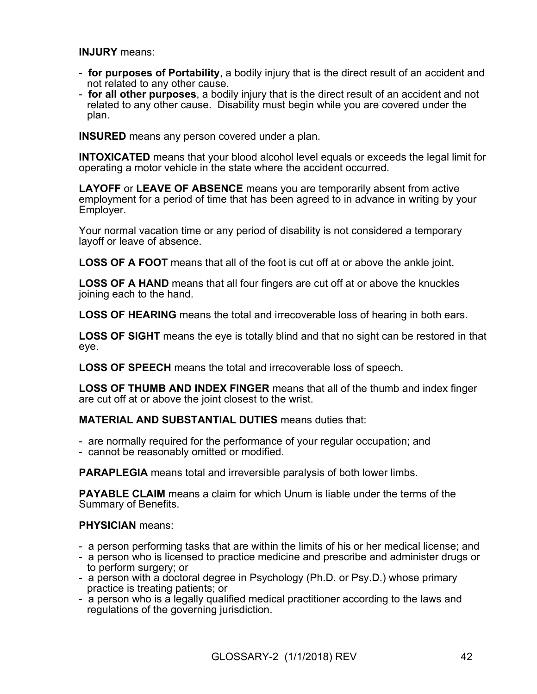**INJURY** means:

- **for purposes of Portability**, a bodily injury that is the direct result of an accident and not related to any other cause.
- **for all other purposes**, a bodily injury that is the direct result of an accident and not related to any other cause. Disability must begin while you are covered under the plan.

**INSURED** means any person covered under a plan.

**INTOXICATED** means that your blood alcohol level equals or exceeds the legal limit for operating a motor vehicle in the state where the accident occurred.

**LAYOFF** or **LEAVE OF ABSENCE** means you are temporarily absent from active employment for a period of time that has been agreed to in advance in writing by your Employer.

Your normal vacation time or any period of disability is not considered a temporary layoff or leave of absence.

**LOSS OF A FOOT** means that all of the foot is cut off at or above the ankle joint.

**LOSS OF A HAND** means that all four fingers are cut off at or above the knuckles joining each to the hand.

**LOSS OF HEARING** means the total and irrecoverable loss of hearing in both ears.

**LOSS OF SIGHT** means the eye is totally blind and that no sight can be restored in that eye.

**LOSS OF SPEECH** means the total and irrecoverable loss of speech.

**LOSS OF THUMB AND INDEX FINGER** means that all of the thumb and index finger are cut off at or above the joint closest to the wrist.

#### **MATERIAL AND SUBSTANTIAL DUTIES** means duties that:

- are normally required for the performance of your regular occupation; and
- cannot be reasonably omitted or modified.

**PARAPLEGIA** means total and irreversible paralysis of both lower limbs.

**PAYABLE CLAIM** means a claim for which Unum is liable under the terms of the Summary of Benefits.

#### **PHYSICIAN** means:

- a person performing tasks that are within the limits of his or her medical license; and
- a person who is licensed to practice medicine and prescribe and administer drugs or to perform surgery; or
- a person with a doctoral degree in Psychology (Ph.D. or Psy.D.) whose primary practice is treating patients; or
- a person who is a legally qualified medical practitioner according to the laws and regulations of the governing jurisdiction.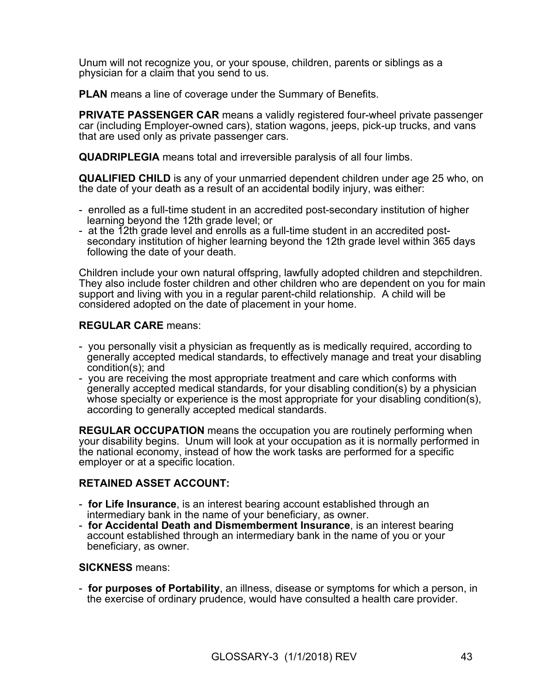Unum will not recognize you, or your spouse, children, parents or siblings as a physician for a claim that you send to us.

**PLAN** means a line of coverage under the Summary of Benefits.

**PRIVATE PASSENGER CAR** means a validly registered four-wheel private passenger car (including Employer-owned cars), station wagons, jeeps, pick-up trucks, and vans that are used only as private passenger cars.

**QUADRIPLEGIA** means total and irreversible paralysis of all four limbs.

**QUALIFIED CHILD** is any of your unmarried dependent children under age 25 who, on the date of your death as a result of an accidental bodily injury, was either:

- enrolled as a full-time student in an accredited post-secondary institution of higher learning beyond the 12th grade level; or
- at the 12th grade level and enrolls as a full-time student in an accredited postsecondary institution of higher learning beyond the 12th grade level within 365 days following the date of your death.

Children include your own natural offspring, lawfully adopted children and stepchildren. They also include foster children and other children who are dependent on you for main support and living with you in a regular parent-child relationship. A child will be considered adopted on the date of placement in your home.

#### **REGULAR CARE** means:

- you personally visit a physician as frequently as is medically required, according to generally accepted medical standards, to effectively manage and treat your disabling condition(s); and
- you are receiving the most appropriate treatment and care which conforms with generally accepted medical standards, for your disabling condition(s) by a physician whose specialty or experience is the most appropriate for your disabling condition(s), according to generally accepted medical standards.

**REGULAR OCCUPATION** means the occupation you are routinely performing when your disability begins. Unum will look at your occupation as it is normally performed in the national economy, instead of how the work tasks are performed for a specific employer or at a specific location.

#### **RETAINED ASSET ACCOUNT:**

- **for Life Insurance**, is an interest bearing account established through an intermediary bank in the name of your beneficiary, as owner.
- **for Accidental Death and Dismemberment Insurance**, is an interest bearing account established through an intermediary bank in the name of you or your beneficiary, as owner.

#### **SICKNESS** means:

- **for purposes of Portability**, an illness, disease or symptoms for which a person, in the exercise of ordinary prudence, would have consulted a health care provider.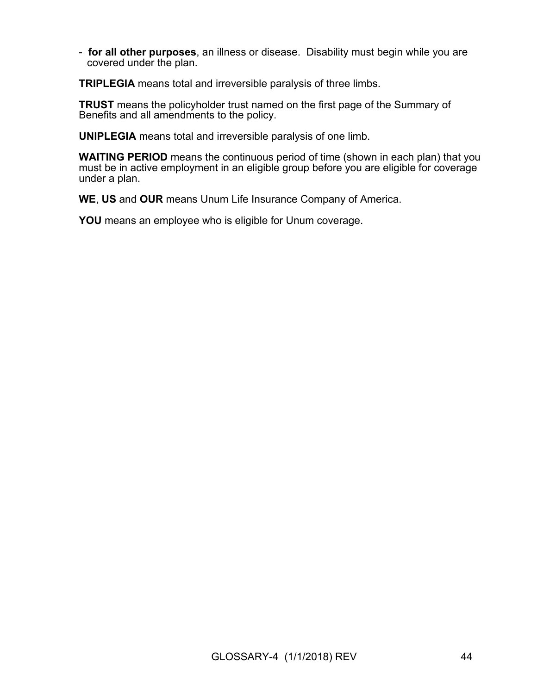- **for all other purposes**, an illness or disease. Disability must begin while you are covered under the plan.

**TRIPLEGIA** means total and irreversible paralysis of three limbs.

**TRUST** means the policyholder trust named on the first page of the Summary of Benefits and all amendments to the policy.

**UNIPLEGIA** means total and irreversible paralysis of one limb.

**WAITING PERIOD** means the continuous period of time (shown in each plan) that you must be in active employment in an eligible group before you are eligible for coverage under a plan.

**WE**, **US** and **OUR** means Unum Life Insurance Company of America.

**YOU** means an employee who is eligible for Unum coverage.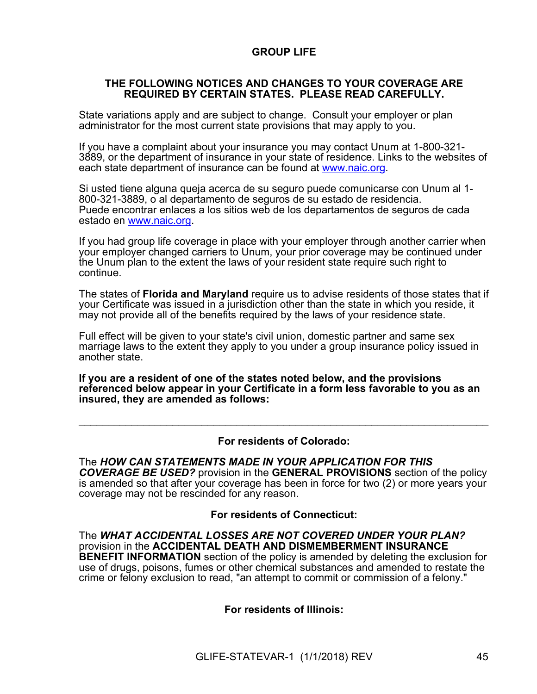# **GROUP LIFE**

#### **THE FOLLOWING NOTICES AND CHANGES TO YOUR COVERAGE ARE REQUIRED BY CERTAIN STATES. PLEASE READ CAREFULLY.**

State variations apply and are subject to change. Consult your employer or plan administrator for the most current state provisions that may apply to you.

If you have a complaint about your insurance you may contact Unum at 1-800-321- 3889, or the department of insurance in your state of residence. Links to the websites of each state department of insurance can be found at [www.naic.org.](http://www.naic.org/)

Si usted tiene alguna queja acerca de su seguro puede comunicarse con Unum al 1- 800-321-3889, o al departamento de seguros de su estado de residencia. Puede encontrar enlaces a los sitios web de los departamentos de seguros de cada estado en [www.naic.org](http://www.naic.org/).

If you had group life coverage in place with your employer through another carrier when your employer changed carriers to Unum, your prior coverage may be continued under the Unum plan to the extent the laws of your resident state require such right to continue.

The states of **Florida and Maryland** require us to advise residents of those states that if your Certificate was issued in a jurisdiction other than the state in which you reside, it may not provide all of the benefits required by the laws of your residence state.

Full effect will be given to your state's civil union, domestic partner and same sex marriage laws to the extent they apply to you under a group insurance policy issued in another state.

**If you are a resident of one of the states noted below, and the provisions referenced below appear in your Certificate in a form less favorable to you as an insured, they are amended as follows:**

#### **For residents of Colorado:**

 $\mathcal{L}_\text{max} = \mathcal{L}_\text{max} = \mathcal{L}_\text{max} = \mathcal{L}_\text{max} = \mathcal{L}_\text{max} = \mathcal{L}_\text{max} = \mathcal{L}_\text{max} = \mathcal{L}_\text{max} = \mathcal{L}_\text{max} = \mathcal{L}_\text{max} = \mathcal{L}_\text{max} = \mathcal{L}_\text{max} = \mathcal{L}_\text{max} = \mathcal{L}_\text{max} = \mathcal{L}_\text{max} = \mathcal{L}_\text{max} = \mathcal{L}_\text{max} = \mathcal{L}_\text{max} = \mathcal{$ 

The *HOW CAN STATEMENTS MADE IN YOUR APPLICATION FOR THIS COVERAGE BE USED?* provision in the **GENERAL PROVISIONS** section of the policy is amended so that after your coverage has been in force for two (2) or more years your coverage may not be rescinded for any reason.

#### **For residents of Connecticut:**

The *WHAT ACCIDENTAL LOSSES ARE NOT COVERED UNDER YOUR PLAN?* provision in the **ACCIDENTAL DEATH AND DISMEMBERMENT INSURANCE BENEFIT INFORMATION** section of the policy is amended by deleting the exclusion for use of drugs, poisons, fumes or other chemical substances and amended to restate the crime or felony exclusion to read, "an attempt to commit or commission of a felony."

**For residents of Illinois:**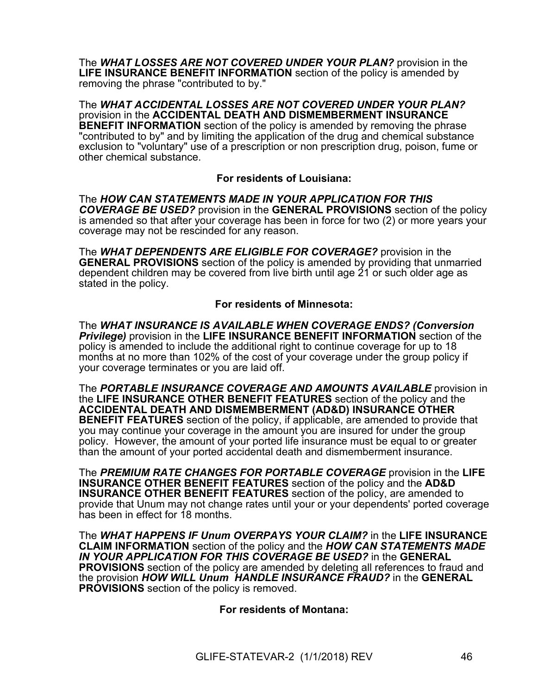The *WHAT LOSSES ARE NOT COVERED UNDER YOUR PLAN?* provision in the **LIFE INSURANCE BENEFIT INFORMATION** section of the policy is amended by removing the phrase "contributed to by."

The *WHAT ACCIDENTAL LOSSES ARE NOT COVERED UNDER YOUR PLAN?* provision in the **ACCIDENTAL DEATH AND DISMEMBERMENT INSURANCE BENEFIT INFORMATION** section of the policy is amended by removing the phrase "contributed to by" and by limiting the application of the drug and chemical substance exclusion to "voluntary" use of a prescription or non prescription drug, poison, fume or other chemical substance.

## **For residents of Louisiana:**

The *HOW CAN STATEMENTS MADE IN YOUR APPLICATION FOR THIS COVERAGE BE USED?* provision in the **GENERAL PROVISIONS** section of the policy is amended so that after your coverage has been in force for two (2) or more years your coverage may not be rescinded for any reason.

The *WHAT DEPENDENTS ARE ELIGIBLE FOR COVERAGE?* provision in the **GENERAL PROVISIONS** section of the policy is amended by providing that unmarried dependent children may be covered from live birth until age 21 or such older age as stated in the policy.

#### **For residents of Minnesota:**

The *WHAT INSURANCE IS AVAILABLE WHEN COVERAGE ENDS? (Conversion Privilege)* provision in the **LIFE INSURANCE BENEFIT INFORMATION** section of the policy is amended to include the additional right to continue coverage for up to 18 months at no more than 102% of the cost of your coverage under the group policy if your coverage terminates or you are laid off.

The *PORTABLE INSURANCE COVERAGE AND AMOUNTS AVAILABLE* provision in the **LIFE INSURANCE OTHER BENEFIT FEATURES** section of the policy and the **ACCIDENTAL DEATH AND DISMEMBERMENT (AD&D) INSURANCE OTHER BENEFIT FEATURES** section of the policy, if applicable, are amended to provide that you may continue your coverage in the amount you are insured for under the group policy. However, the amount of your ported life insurance must be equal to or greater than the amount of your ported accidental death and dismemberment insurance.

The *PREMIUM RATE CHANGES FOR PORTABLE COVERAGE* provision in the **LIFE INSURANCE OTHER BENEFIT FEATURES** section of the policy and the **AD&D INSURANCE OTHER BENEFIT FEATURES** section of the policy, are amended to provide that Unum may not change rates until your or your dependents' ported coverage has been in effect for 18 months.

The *WHAT HAPPENS IF Unum OVERPAYS YOUR CLAIM?* in the **LIFE INSURANCE CLAIM INFORMATION** section of the policy and the *HOW CAN STATEMENTS MADE IN YOUR APPLICATION FOR THIS COVERAGE BE USED?* in the **GENERAL PROVISIONS** section of the policy are amended by deleting all references to fraud and the provision *HOW WILL Unum HANDLE INSURANCE FRAUD?* in the **GENERAL PROVISIONS** section of the policy is removed.

**For residents of Montana:**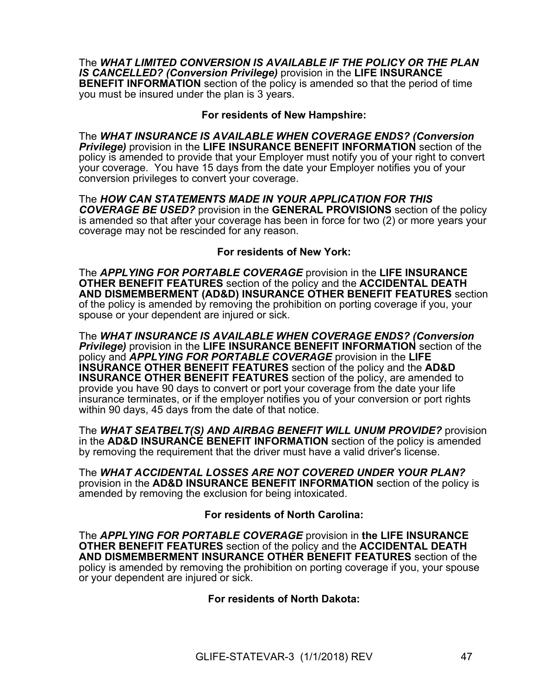The *WHAT LIMITED CONVERSION IS AVAILABLE IF THE POLICY OR THE PLAN IS CANCELLED? (Conversion Privilege)* provision in the **LIFE INSURANCE BENEFIT INFORMATION** section of the policy is amended so that the period of time you must be insured under the plan is 3 years.

#### **For residents of New Hampshire:**

The *WHAT INSURANCE IS AVAILABLE WHEN COVERAGE ENDS? (Conversion Privilege)* provision in the **LIFE INSURANCE BENEFIT INFORMATION** section of the policy is amended to provide that your Employer must notify you of your right to convert your coverage. You have 15 days from the date your Employer notifies you of your conversion privileges to convert your coverage.

The *HOW CAN STATEMENTS MADE IN YOUR APPLICATION FOR THIS COVERAGE BE USED?* provision in the **GENERAL PROVISIONS** section of the policy is amended so that after your coverage has been in force for two (2) or more years your coverage may not be rescinded for any reason.

## **For residents of New York:**

The *APPLYING FOR PORTABLE COVERAGE* provision in the **LIFE INSURANCE OTHER BENEFIT FEATURES** section of the policy and the **ACCIDENTAL DEATH AND DISMEMBERMENT (AD&D) INSURANCE OTHER BENEFIT FEATURES** section of the policy is amended by removing the prohibition on porting coverage if you, your spouse or your dependent are injured or sick.

The *WHAT INSURANCE IS AVAILABLE WHEN COVERAGE ENDS? (Conversion Privilege)* provision in the **LIFE INSURANCE BENEFIT INFORMATION** section of the policy and *APPLYING FOR PORTABLE COVERAGE* provision in the **LIFE INSURANCE OTHER BENEFIT FEATURES** section of the policy and the **AD&D INSURANCE OTHER BENEFIT FEATURES** section of the policy, are amended to provide you have 90 days to convert or port your coverage from the date your life insurance terminates, or if the employer notifies you of your conversion or port rights within 90 days, 45 days from the date of that notice.

The *WHAT SEATBELT(S) AND AIRBAG BENEFIT WILL UNUM PROVIDE?* provision in the **AD&D INSURANCE BENEFIT INFORMATION** section of the policy is amended by removing the requirement that the driver must have a valid driver's license.

The *WHAT ACCIDENTAL LOSSES ARE NOT COVERED UNDER YOUR PLAN?* provision in the **AD&D INSURANCE BENEFIT INFORMATION** section of the policy is amended by removing the exclusion for being intoxicated.

#### **For residents of North Carolina:**

The *APPLYING FOR PORTABLE COVERAGE* provision in **the LIFE INSURANCE OTHER BENEFIT FEATURES** section of the policy and the **ACCIDENTAL DEATH AND DISMEMBERMENT INSURANCE OTHER BENEFIT FEATURES** section of the policy is amended by removing the prohibition on porting coverage if you, your spouse or your dependent are injured or sick.

#### **For residents of North Dakota:**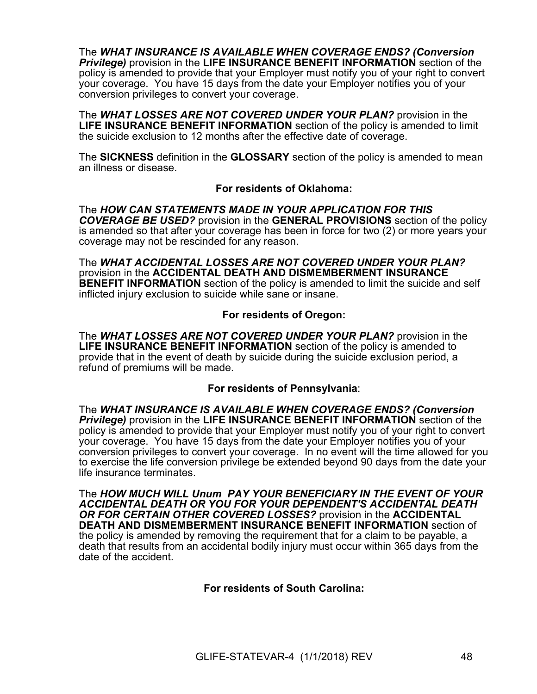The *WHAT INSURANCE IS AVAILABLE WHEN COVERAGE ENDS? (Conversion Privilege)* provision in the **LIFE INSURANCE BENEFIT INFORMATION** section of the policy is amended to provide that your Employer must notify you of your right to convert your coverage. You have 15 days from the date your Employer notifies you of your conversion privileges to convert your coverage.

The *WHAT LOSSES ARE NOT COVERED UNDER YOUR PLAN?* provision in the **LIFE INSURANCE BENEFIT INFORMATION** section of the policy is amended to limit the suicide exclusion to 12 months after the effective date of coverage.

The **SICKNESS** definition in the **GLOSSARY** section of the policy is amended to mean an illness or disease.

#### **For residents of Oklahoma:**

The *HOW CAN STATEMENTS MADE IN YOUR APPLICATION FOR THIS COVERAGE BE USED?* provision in the **GENERAL PROVISIONS** section of the policy is amended so that after your coverage has been in force for two (2) or more years your coverage may not be rescinded for any reason.

The *WHAT ACCIDENTAL LOSSES ARE NOT COVERED UNDER YOUR PLAN?* provision in the **ACCIDENTAL DEATH AND DISMEMBERMENT INSURANCE BENEFIT INFORMATION** section of the policy is amended to limit the suicide and self inflicted injury exclusion to suicide while sane or insane.

#### **For residents of Oregon:**

The *WHAT LOSSES ARE NOT COVERED UNDER YOUR PLAN?* provision in the **LIFE INSURANCE BENEFIT INFORMATION** section of the policy is amended to provide that in the event of death by suicide during the suicide exclusion period, a refund of premiums will be made.

## **For residents of Pennsylvania**:

The *WHAT INSURANCE IS AVAILABLE WHEN COVERAGE ENDS? (Conversion Privilege)* provision in the **LIFE INSURANCE BENEFIT INFORMATION** section of the policy is amended to provide that your Employer must notify you of your right to convert your coverage. You have 15 days from the date your Employer notifies you of your conversion privileges to convert your coverage. In no event will the time allowed for you to exercise the life conversion privilege be extended beyond 90 days from the date your life insurance terminates.

The *HOW MUCH WILL Unum PAY YOUR BENEFICIARY IN THE EVENT OF YOUR ACCIDENTAL DEATH OR YOU FOR YOUR DEPENDENT'S ACCIDENTAL DEATH OR FOR CERTAIN OTHER COVERED LOSSES?* provision in the **ACCIDENTAL DEATH AND DISMEMBERMENT INSURANCE BENEFIT INFORMATION** section of the policy is amended by removing the requirement that for a claim to be payable, a death that results from an accidental bodily injury must occur within 365 days from the date of the accident.

#### **For residents of South Carolina:**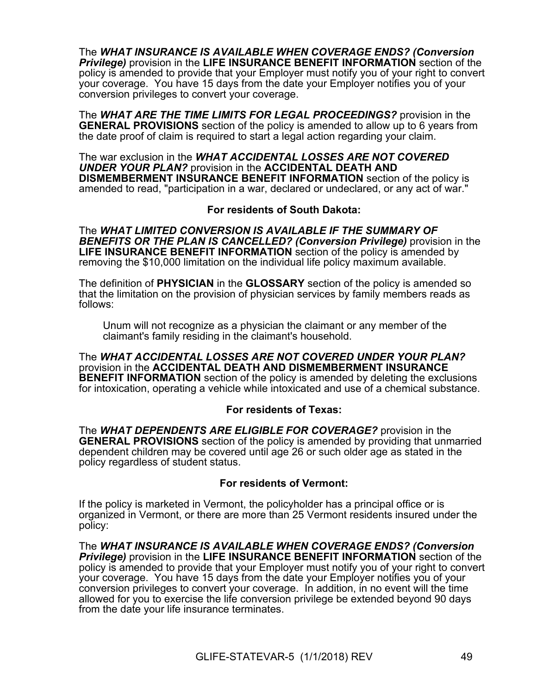The *WHAT INSURANCE IS AVAILABLE WHEN COVERAGE ENDS? (Conversion Privilege)* provision in the **LIFE INSURANCE BENEFIT INFORMATION** section of the policy is amended to provide that your Employer must notify you of your right to convert your coverage. You have 15 days from the date your Employer notifies you of your conversion privileges to convert your coverage.

The *WHAT ARE THE TIME LIMITS FOR LEGAL PROCEEDINGS?* provision in the **GENERAL PROVISIONS** section of the policy is amended to allow up to 6 years from the date proof of claim is required to start a legal action regarding your claim.

The war exclusion in the *WHAT ACCIDENTAL LOSSES ARE NOT COVERED UNDER YOUR PLAN?* provision in the **ACCIDENTAL DEATH AND DISMEMBERMENT INSURANCE BENEFIT INFORMATION** section of the policy is amended to read, "participation in a war, declared or undeclared, or any act of war."

## **For residents of South Dakota:**

The *WHAT LIMITED CONVERSION IS AVAILABLE IF THE SUMMARY OF BENEFITS OR THE PLAN IS CANCELLED? (Conversion Privilege)* provision in the **LIFE INSURANCE BENEFIT INFORMATION** section of the policy is amended by removing the \$10,000 limitation on the individual life policy maximum available.

The definition of **PHYSICIAN** in the **GLOSSARY** section of the policy is amended so that the limitation on the provision of physician services by family members reads as follows:

Unum will not recognize as a physician the claimant or any member of the claimant's family residing in the claimant's household.

The *WHAT ACCIDENTAL LOSSES ARE NOT COVERED UNDER YOUR PLAN?* provision in the **ACCIDENTAL DEATH AND DISMEMBERMENT INSURANCE BENEFIT INFORMATION** section of the policy is amended by deleting the exclusions for intoxication, operating a vehicle while intoxicated and use of a chemical substance.

# **For residents of Texas:**

The *WHAT DEPENDENTS ARE ELIGIBLE FOR COVERAGE?* provision in the **GENERAL PROVISIONS** section of the policy is amended by providing that unmarried dependent children may be covered until age 26 or such older age as stated in the policy regardless of student status.

# **For residents of Vermont:**

If the policy is marketed in Vermont, the policyholder has a principal office or is organized in Vermont, or there are more than 25 Vermont residents insured under the policy:

The *WHAT INSURANCE IS AVAILABLE WHEN COVERAGE ENDS? (Conversion Privilege)* provision in the **LIFE INSURANCE BENEFIT INFORMATION** section of the policy is amended to provide that your Employer must notify you of your right to convert your coverage. You have 15 days from the date your Employer notifies you of your conversion privileges to convert your coverage. In addition, in no event will the time allowed for you to exercise the life conversion privilege be extended beyond 90 days from the date your life insurance terminates.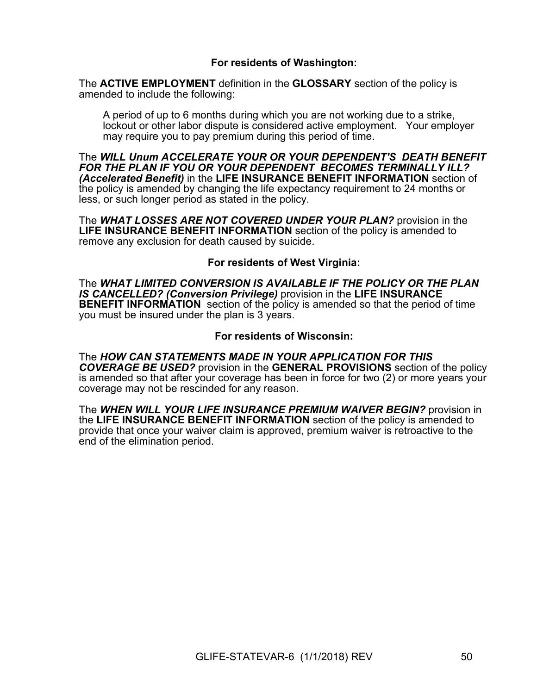## **For residents of Washington:**

The **ACTIVE EMPLOYMENT** definition in the **GLOSSARY** section of the policy is amended to include the following:

A period of up to 6 months during which you are not working due to a strike, lockout or other labor dispute is considered active employment. Your employer may require you to pay premium during this period of time.

The *WILL Unum ACCELERATE YOUR OR YOUR DEPENDENT'S DEATH BENEFIT FOR THE PLAN IF YOU OR YOUR DEPENDENT BECOMES TERMINALLY ILL? (Accelerated Benefit)* in the **LIFE INSURANCE BENEFIT INFORMATION** section of the policy is amended by changing the life expectancy requirement to 24 months or less, or such longer period as stated in the policy.

The *WHAT LOSSES ARE NOT COVERED UNDER YOUR PLAN?* provision in the **LIFE INSURANCE BENEFIT INFORMATION** section of the policy is amended to remove any exclusion for death caused by suicide.

#### **For residents of West Virginia:**

The *WHAT LIMITED CONVERSION IS AVAILABLE IF THE POLICY OR THE PLAN IS CANCELLED? (Conversion Privilege)* provision in the **LIFE INSURANCE BENEFIT INFORMATION** section of the policy is amended so that the period of time you must be insured under the plan is 3 years.

#### **For residents of Wisconsin:**

The *HOW CAN STATEMENTS MADE IN YOUR APPLICATION FOR THIS COVERAGE BE USED?* provision in the **GENERAL PROVISIONS** section of the policy is amended so that after your coverage has been in force for two (2) or more years your coverage may not be rescinded for any reason.

The *WHEN WILL YOUR LIFE INSURANCE PREMIUM WAIVER BEGIN?* provision in the **LIFE INSURANCE BENEFIT INFORMATION** section of the policy is amended to provide that once your waiver claim is approved, premium waiver is retroactive to the end of the elimination period.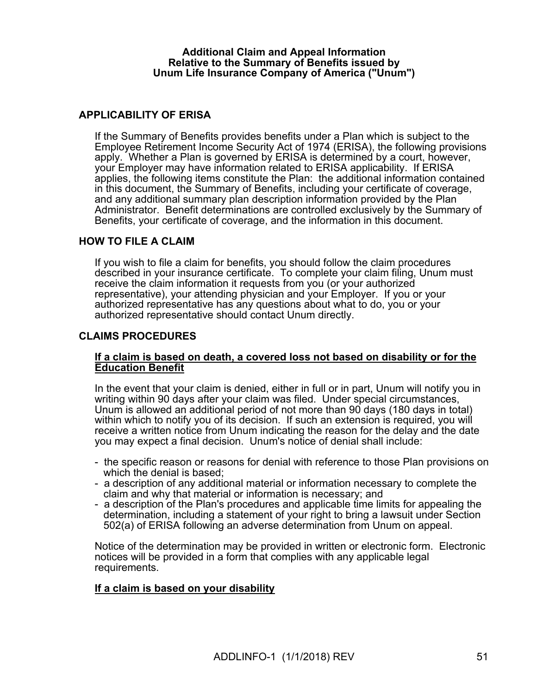#### **Additional Claim and Appeal Information Relative to the Summary of Benefits issued by Unum Life Insurance Company of America ("Unum")**

## **APPLICABILITY OF ERISA**

If the Summary of Benefits provides benefits under a Plan which is subject to the Employee Retirement Income Security Act of 1974 (ERISA), the following provisions apply. Whether a Plan is governed by ERISA is determined by a court, however, your Employer may have information related to ERISA applicability. If ERISA applies, the following items constitute the Plan: the additional information contained in this document, the Summary of Benefits, including your certificate of coverage, and any additional summary plan description information provided by the Plan Administrator. Benefit determinations are controlled exclusively by the Summary of Benefits, your certificate of coverage, and the information in this document.

#### **HOW TO FILE A CLAIM**

If you wish to file a claim for benefits, you should follow the claim procedures described in your insurance certificate. To complete your claim filing, Unum must receive the claim information it requests from you (or your authorized representative), your attending physician and your Employer. If you or your authorized representative has any questions about what to do, you or your authorized representative should contact Unum directly.

#### **CLAIMS PROCEDURES**

#### **If a claim is based on death, a covered loss not based on disability or for the Education Benefit**

In the event that your claim is denied, either in full or in part, Unum will notify you in writing within 90 days after your claim was filed. Under special circumstances, Unum is allowed an additional period of not more than 90 days (180 days in total) within which to notify you of its decision. If such an extension is required, you will receive a written notice from Unum indicating the reason for the delay and the date you may expect a final decision. Unum's notice of denial shall include:

- the specific reason or reasons for denial with reference to those Plan provisions on which the denial is based;
- a description of any additional material or information necessary to complete the claim and why that material or information is necessary; and
- a description of the Plan's procedures and applicable time limits for appealing the determination, including a statement of your right to bring a lawsuit under Section 502(a) of ERISA following an adverse determination from Unum on appeal.

Notice of the determination may be provided in written or electronic form. Electronic notices will be provided in a form that complies with any applicable legal requirements.

#### **If a claim is based on your disability**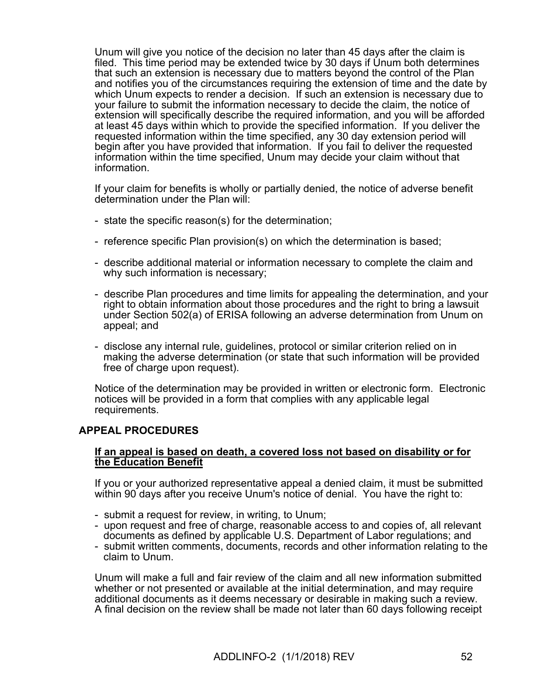Unum will give you notice of the decision no later than 45 days after the claim is filed. This time period may be extended twice by 30 days if Unum both determines that such an extension is necessary due to matters beyond the control of the Plan and notifies you of the circumstances requiring the extension of time and the date by which Unum expects to render a decision. If such an extension is necessary due to your failure to submit the information necessary to decide the claim, the notice of extension will specifically describe the required information, and you will be afforded at least 45 days within which to provide the specified information. If you deliver the requested information within the time specified, any 30 day extension period will begin after you have provided that information. If you fail to deliver the requested information within the time specified, Unum may decide your claim without that information.

If your claim for benefits is wholly or partially denied, the notice of adverse benefit determination under the Plan will:

- state the specific reason(s) for the determination;
- reference specific Plan provision(s) on which the determination is based;
- describe additional material or information necessary to complete the claim and why such information is necessary;
- describe Plan procedures and time limits for appealing the determination, and your right to obtain information about those procedures and the right to bring a lawsuit under Section 502(a) of ERISA following an adverse determination from Unum on appeal; and
- disclose any internal rule, guidelines, protocol or similar criterion relied on in making the adverse determination (or state that such information will be provided free of charge upon request).

Notice of the determination may be provided in written or electronic form. Electronic notices will be provided in a form that complies with any applicable legal requirements.

#### **APPEAL PROCEDURES**

#### **If an appeal is based on death, a covered loss not based on disability or for the Education Benefit**

If you or your authorized representative appeal a denied claim, it must be submitted within 90 days after you receive Unum's notice of denial. You have the right to:

- submit a request for review, in writing, to Unum;
- upon request and free of charge, reasonable access to and copies of, all relevant documents as defined by applicable U.S. Department of Labor regulations; and
- submit written comments, documents, records and other information relating to the claim to Unum.

Unum will make a full and fair review of the claim and all new information submitted whether or not presented or available at the initial determination, and may require additional documents as it deems necessary or desirable in making such a review. A final decision on the review shall be made not later than 60 days following receipt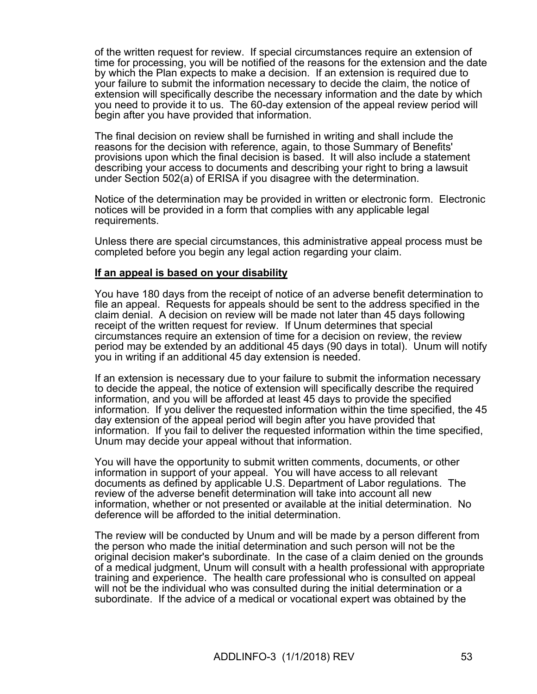of the written request for review. If special circumstances require an extension of time for processing, you will be notified of the reasons for the extension and the date by which the Plan expects to make a decision. If an extension is required due to your failure to submit the information necessary to decide the claim, the notice of extension will specifically describe the necessary information and the date by which you need to provide it to us. The 60-day extension of the appeal review period will begin after you have provided that information.

The final decision on review shall be furnished in writing and shall include the reasons for the decision with reference, again, to those Summary of Benefits' provisions upon which the final decision is based. It will also include a statement describing your access to documents and describing your right to bring a lawsuit under Section 502(a) of ERISA if you disagree with the determination.

Notice of the determination may be provided in written or electronic form. Electronic notices will be provided in a form that complies with any applicable legal requirements.

Unless there are special circumstances, this administrative appeal process must be completed before you begin any legal action regarding your claim.

#### **If an appeal is based on your disability**

You have 180 days from the receipt of notice of an adverse benefit determination to file an appeal. Requests for appeals should be sent to the address specified in the claim denial. A decision on review will be made not later than 45 days following receipt of the written request for review. If Unum determines that special circumstances require an extension of time for a decision on review, the review period may be extended by an additional 45 days (90 days in total). Unum will notify you in writing if an additional 45 day extension is needed.

If an extension is necessary due to your failure to submit the information necessary to decide the appeal, the notice of extension will specifically describe the required information, and you will be afforded at least 45 days to provide the specified information. If you deliver the requested information within the time specified, the 45 day extension of the appeal period will begin after you have provided that information. If you fail to deliver the requested information within the time specified, Unum may decide your appeal without that information.

You will have the opportunity to submit written comments, documents, or other information in support of your appeal. You will have access to all relevant documents as defined by applicable U.S. Department of Labor regulations. The review of the adverse benefit determination will take into account all new information, whether or not presented or available at the initial determination. No deference will be afforded to the initial determination.

The review will be conducted by Unum and will be made by a person different from the person who made the initial determination and such person will not be the original decision maker's subordinate. In the case of a claim denied on the grounds of a medical judgment, Unum will consult with a health professional with appropriate training and experience. The health care professional who is consulted on appeal will not be the individual who was consulted during the initial determination or a subordinate. If the advice of a medical or vocational expert was obtained by the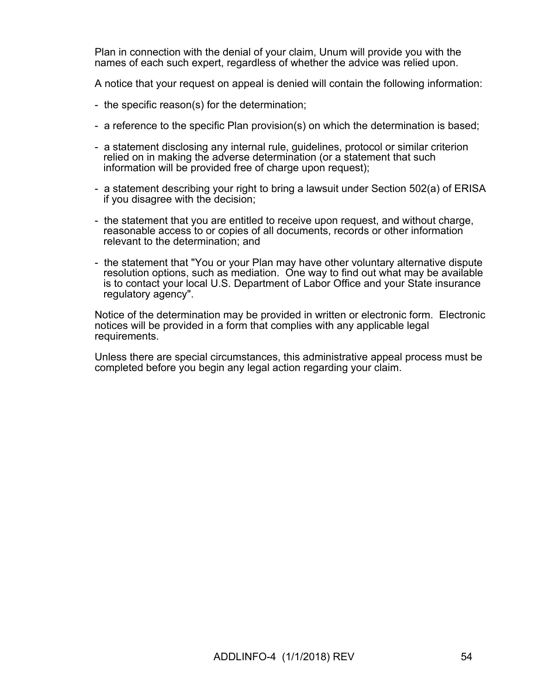Plan in connection with the denial of your claim, Unum will provide you with the names of each such expert, regardless of whether the advice was relied upon.

A notice that your request on appeal is denied will contain the following information:

- the specific reason(s) for the determination;
- a reference to the specific Plan provision(s) on which the determination is based;
- a statement disclosing any internal rule, guidelines, protocol or similar criterion relied on in making the adverse determination (or a statement that such information will be provided free of charge upon request);
- a statement describing your right to bring a lawsuit under Section 502(a) of ERISA if you disagree with the decision;
- the statement that you are entitled to receive upon request, and without charge, reasonable access to or copies of all documents, records or other information relevant to the determination; and
- the statement that "You or your Plan may have other voluntary alternative dispute resolution options, such as mediation. One way to find out what may be available is to contact your local U.S. Department of Labor Office and your State insurance regulatory agency".

Notice of the determination may be provided in written or electronic form. Electronic notices will be provided in a form that complies with any applicable legal requirements.

Unless there are special circumstances, this administrative appeal process must be completed before you begin any legal action regarding your claim.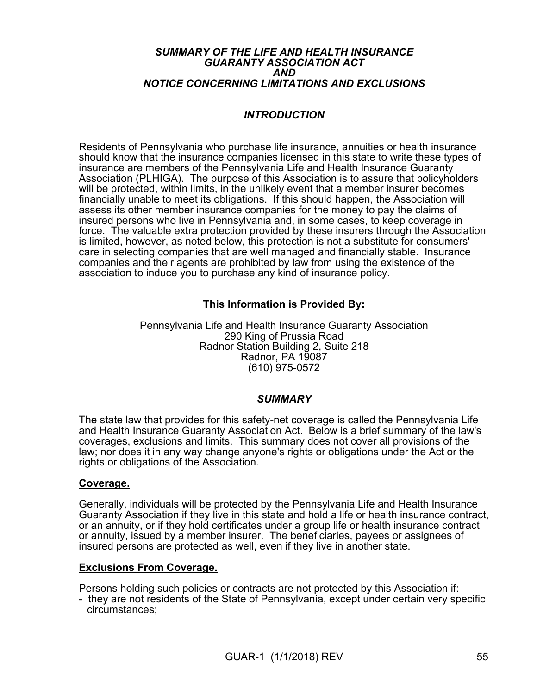#### *SUMMARY OF THE LIFE AND HEALTH INSURANCE GUARANTY ASSOCIATION ACT AND NOTICE CONCERNING LIMITATIONS AND EXCLUSIONS*

# *INTRODUCTION*

Residents of Pennsylvania who purchase life insurance, annuities or health insurance should know that the insurance companies licensed in this state to write these types of insurance are members of the Pennsylvania Life and Health Insurance Guaranty Association (PLHIGA). The purpose of this Association is to assure that policyholders will be protected, within limits, in the unlikely event that a member insurer becomes financially unable to meet its obligations. If this should happen, the Association will assess its other member insurance companies for the money to pay the claims of insured persons who live in Pennsylvania and, in some cases, to keep coverage in force. The valuable extra protection provided by these insurers through the Association is limited, however, as noted below, this protection is not a substitute for consumers' care in selecting companies that are well managed and financially stable. Insurance companies and their agents are prohibited by law from using the existence of the association to induce you to purchase any kind of insurance policy.

# **This Information is Provided By:**

Pennsylvania Life and Health Insurance Guaranty Association 290 King of Prussia Road Radnor Station Building 2, Suite 218 Radnor, PA 19087 (610) 975-0572

#### *SUMMARY*

The state law that provides for this safety-net coverage is called the Pennsylvania Life and Health Insurance Guaranty Association Act. Below is a brief summary of the law's coverages, exclusions and limits. This summary does not cover all provisions of the law; nor does it in any way change anyone's rights or obligations under the Act or the rights or obligations of the Association.

#### **Coverage.**

Generally, individuals will be protected by the Pennsylvania Life and Health Insurance Guaranty Association if they live in this state and hold a life or health insurance contract, or an annuity, or if they hold certificates under a group life or health insurance contract or annuity, issued by a member insurer. The beneficiaries, payees or assignees of insured persons are protected as well, even if they live in another state.

#### **Exclusions From Coverage.**

Persons holding such policies or contracts are not protected by this Association if:

- they are not residents of the State of Pennsylvania, except under certain very specific circumstances;